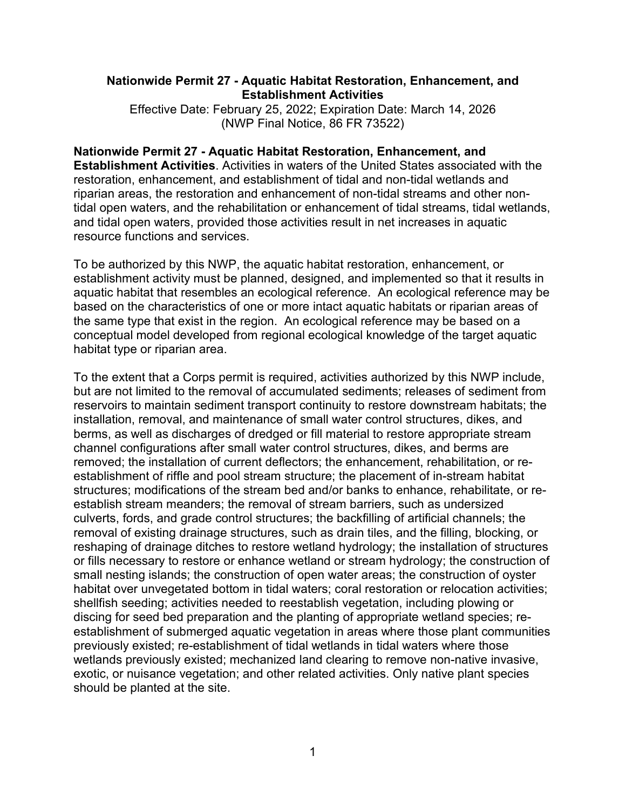### **Nationwide Permit 27 - Aquatic Habitat Restoration, Enhancement, and Establishment Activities**

Effective Date: February 25, 2022; Expiration Date: March 14, 2026 (NWP Final Notice, 86 FR 73522)

#### **Nationwide Permit 27 - Aquatic Habitat Restoration, Enhancement, and Establishment Activities**. Activities in waters of the United States associated with the restoration, enhancement, and establishment of tidal and non-tidal wetlands and riparian areas, the restoration and enhancement of non-tidal streams and other nontidal open waters, and the rehabilitation or enhancement of tidal streams, tidal wetlands, and tidal open waters, provided those activities result in net increases in aquatic resource functions and services.

To be authorized by this NWP, the aquatic habitat restoration, enhancement, or establishment activity must be planned, designed, and implemented so that it results in aquatic habitat that resembles an ecological reference. An ecological reference may be based on the characteristics of one or more intact aquatic habitats or riparian areas of the same type that exist in the region. An ecological reference may be based on a conceptual model developed from regional ecological knowledge of the target aquatic habitat type or riparian area.

To the extent that a Corps permit is required, activities authorized by this NWP include, but are not limited to the removal of accumulated sediments; releases of sediment from reservoirs to maintain sediment transport continuity to restore downstream habitats; the installation, removal, and maintenance of small water control structures, dikes, and berms, as well as discharges of dredged or fill material to restore appropriate stream channel configurations after small water control structures, dikes, and berms are removed; the installation of current deflectors; the enhancement, rehabilitation, or reestablishment of riffle and pool stream structure; the placement of in-stream habitat structures; modifications of the stream bed and/or banks to enhance, rehabilitate, or reestablish stream meanders; the removal of stream barriers, such as undersized culverts, fords, and grade control structures; the backfilling of artificial channels; the removal of existing drainage structures, such as drain tiles, and the filling, blocking, or reshaping of drainage ditches to restore wetland hydrology; the installation of structures or fills necessary to restore or enhance wetland or stream hydrology; the construction of small nesting islands; the construction of open water areas; the construction of oyster habitat over unvegetated bottom in tidal waters; coral restoration or relocation activities; shellfish seeding; activities needed to reestablish vegetation, including plowing or discing for seed bed preparation and the planting of appropriate wetland species; reestablishment of submerged aquatic vegetation in areas where those plant communities previously existed; re-establishment of tidal wetlands in tidal waters where those wetlands previously existed; mechanized land clearing to remove non-native invasive, exotic, or nuisance vegetation; and other related activities. Only native plant species should be planted at the site.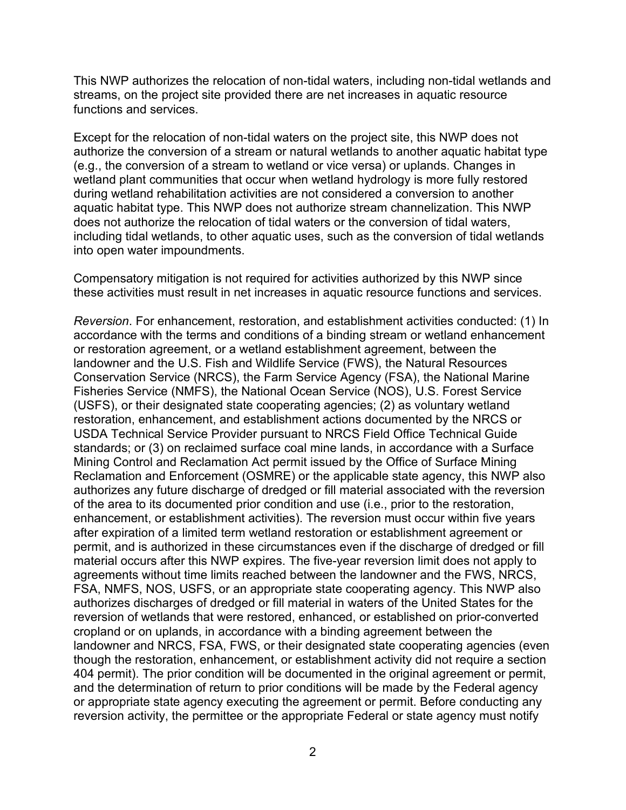This NWP authorizes the relocation of non-tidal waters, including non-tidal wetlands and streams, on the project site provided there are net increases in aquatic resource functions and services.

Except for the relocation of non-tidal waters on the project site, this NWP does not authorize the conversion of a stream or natural wetlands to another aquatic habitat type (e.g., the conversion of a stream to wetland or vice versa) or uplands. Changes in wetland plant communities that occur when wetland hydrology is more fully restored during wetland rehabilitation activities are not considered a conversion to another aquatic habitat type. This NWP does not authorize stream channelization. This NWP does not authorize the relocation of tidal waters or the conversion of tidal waters, including tidal wetlands, to other aquatic uses, such as the conversion of tidal wetlands into open water impoundments.

Compensatory mitigation is not required for activities authorized by this NWP since these activities must result in net increases in aquatic resource functions and services.

*Reversion*. For enhancement, restoration, and establishment activities conducted: (1) In accordance with the terms and conditions of a binding stream or wetland enhancement or restoration agreement, or a wetland establishment agreement, between the landowner and the U.S. Fish and Wildlife Service (FWS), the Natural Resources Conservation Service (NRCS), the Farm Service Agency (FSA), the National Marine Fisheries Service (NMFS), the National Ocean Service (NOS), U.S. Forest Service (USFS), or their designated state cooperating agencies; (2) as voluntary wetland restoration, enhancement, and establishment actions documented by the NRCS or USDA Technical Service Provider pursuant to NRCS Field Office Technical Guide standards; or (3) on reclaimed surface coal mine lands, in accordance with a Surface Mining Control and Reclamation Act permit issued by the Office of Surface Mining Reclamation and Enforcement (OSMRE) or the applicable state agency, this NWP also authorizes any future discharge of dredged or fill material associated with the reversion of the area to its documented prior condition and use (i.e., prior to the restoration, enhancement, or establishment activities). The reversion must occur within five years after expiration of a limited term wetland restoration or establishment agreement or permit, and is authorized in these circumstances even if the discharge of dredged or fill material occurs after this NWP expires. The five-year reversion limit does not apply to agreements without time limits reached between the landowner and the FWS, NRCS, FSA, NMFS, NOS, USFS, or an appropriate state cooperating agency. This NWP also authorizes discharges of dredged or fill material in waters of the United States for the reversion of wetlands that were restored, enhanced, or established on prior-converted cropland or on uplands, in accordance with a binding agreement between the landowner and NRCS, FSA, FWS, or their designated state cooperating agencies (even though the restoration, enhancement, or establishment activity did not require a section 404 permit). The prior condition will be documented in the original agreement or permit, and the determination of return to prior conditions will be made by the Federal agency or appropriate state agency executing the agreement or permit. Before conducting any reversion activity, the permittee or the appropriate Federal or state agency must notify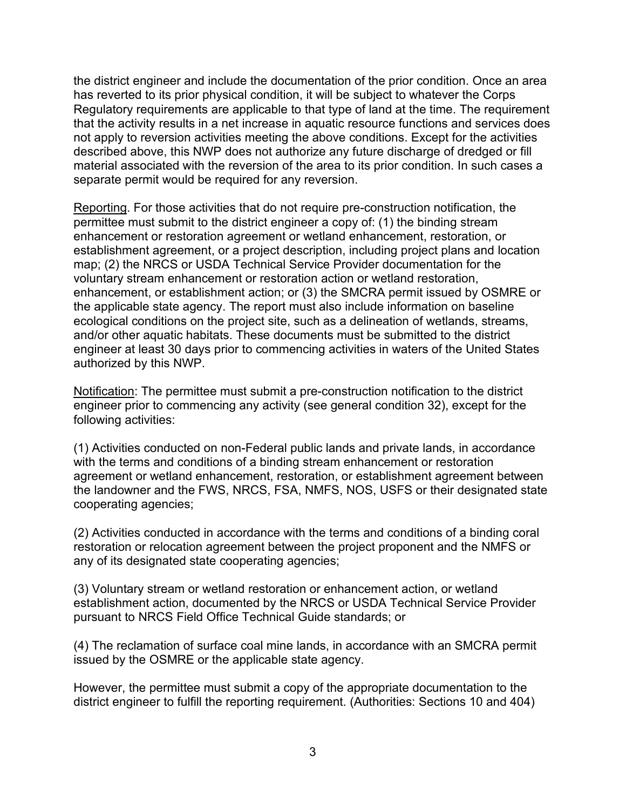the district engineer and include the documentation of the prior condition. Once an area has reverted to its prior physical condition, it will be subject to whatever the Corps Regulatory requirements are applicable to that type of land at the time. The requirement that the activity results in a net increase in aquatic resource functions and services does not apply to reversion activities meeting the above conditions. Except for the activities described above, this NWP does not authorize any future discharge of dredged or fill material associated with the reversion of the area to its prior condition. In such cases a separate permit would be required for any reversion.

Reporting. For those activities that do not require pre-construction notification, the permittee must submit to the district engineer a copy of: (1) the binding stream enhancement or restoration agreement or wetland enhancement, restoration, or establishment agreement, or a project description, including project plans and location map; (2) the NRCS or USDA Technical Service Provider documentation for the voluntary stream enhancement or restoration action or wetland restoration, enhancement, or establishment action; or (3) the SMCRA permit issued by OSMRE or the applicable state agency. The report must also include information on baseline ecological conditions on the project site, such as a delineation of wetlands, streams, and/or other aquatic habitats. These documents must be submitted to the district engineer at least 30 days prior to commencing activities in waters of the United States authorized by this NWP.

Notification: The permittee must submit a pre-construction notification to the district engineer prior to commencing any activity (see general condition 32), except for the following activities:

(1) Activities conducted on non-Federal public lands and private lands, in accordance with the terms and conditions of a binding stream enhancement or restoration agreement or wetland enhancement, restoration, or establishment agreement between the landowner and the FWS, NRCS, FSA, NMFS, NOS, USFS or their designated state cooperating agencies;

(2) Activities conducted in accordance with the terms and conditions of a binding coral restoration or relocation agreement between the project proponent and the NMFS or any of its designated state cooperating agencies;

(3) Voluntary stream or wetland restoration or enhancement action, or wetland establishment action, documented by the NRCS or USDA Technical Service Provider pursuant to NRCS Field Office Technical Guide standards; or

(4) The reclamation of surface coal mine lands, in accordance with an SMCRA permit issued by the OSMRE or the applicable state agency.

However, the permittee must submit a copy of the appropriate documentation to the district engineer to fulfill the reporting requirement. (Authorities: Sections 10 and 404)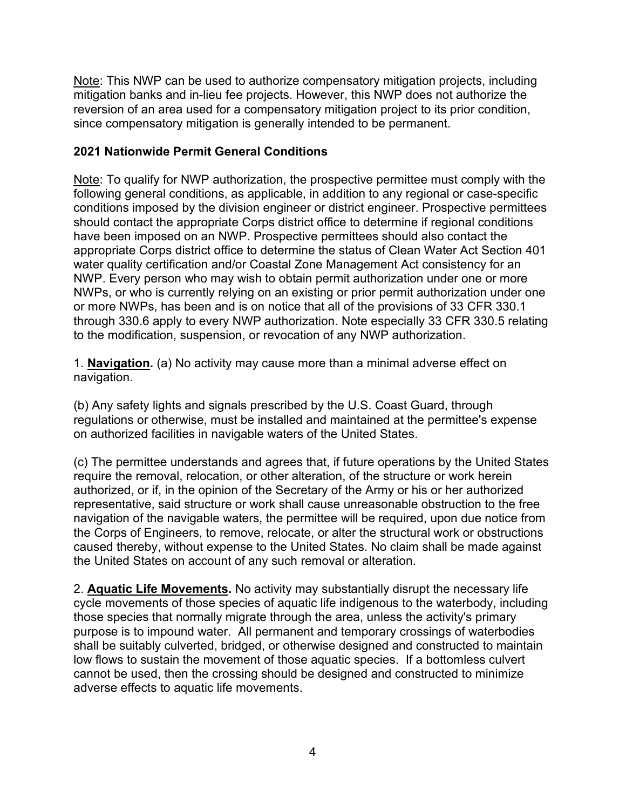Note: This NWP can be used to authorize compensatory mitigation projects, including mitigation banks and in-lieu fee projects. However, this NWP does not authorize the reversion of an area used for a compensatory mitigation project to its prior condition, since compensatory mitigation is generally intended to be permanent.

### **2021 Nationwide Permit General Conditions**

Note: To qualify for NWP authorization, the prospective permittee must comply with the following general conditions, as applicable, in addition to any regional or case-specific conditions imposed by the division engineer or district engineer. Prospective permittees should contact the appropriate Corps district office to determine if regional conditions have been imposed on an NWP. Prospective permittees should also contact the appropriate Corps district office to determine the status of Clean Water Act Section 401 water quality certification and/or Coastal Zone Management Act consistency for an NWP. Every person who may wish to obtain permit authorization under one or more NWPs, or who is currently relying on an existing or prior permit authorization under one or more NWPs, has been and is on notice that all of the provisions of 33 CFR 330.1 through 330.6 apply to every NWP authorization. Note especially 33 CFR 330.5 relating to the modification, suspension, or revocation of any NWP authorization.

1. **Navigation.** (a) No activity may cause more than a minimal adverse effect on navigation.

(b) Any safety lights and signals prescribed by the U.S. Coast Guard, through regulations or otherwise, must be installed and maintained at the permittee's expense on authorized facilities in navigable waters of the United States.

(c) The permittee understands and agrees that, if future operations by the United States require the removal, relocation, or other alteration, of the structure or work herein authorized, or if, in the opinion of the Secretary of the Army or his or her authorized representative, said structure or work shall cause unreasonable obstruction to the free navigation of the navigable waters, the permittee will be required, upon due notice from the Corps of Engineers, to remove, relocate, or alter the structural work or obstructions caused thereby, without expense to the United States. No claim shall be made against the United States on account of any such removal or alteration.

2. **Aquatic Life Movements.** No activity may substantially disrupt the necessary life cycle movements of those species of aquatic life indigenous to the waterbody, including those species that normally migrate through the area, unless the activity's primary purpose is to impound water. All permanent and temporary crossings of waterbodies shall be suitably culverted, bridged, or otherwise designed and constructed to maintain low flows to sustain the movement of those aquatic species. If a bottomless culvert cannot be used, then the crossing should be designed and constructed to minimize adverse effects to aquatic life movements.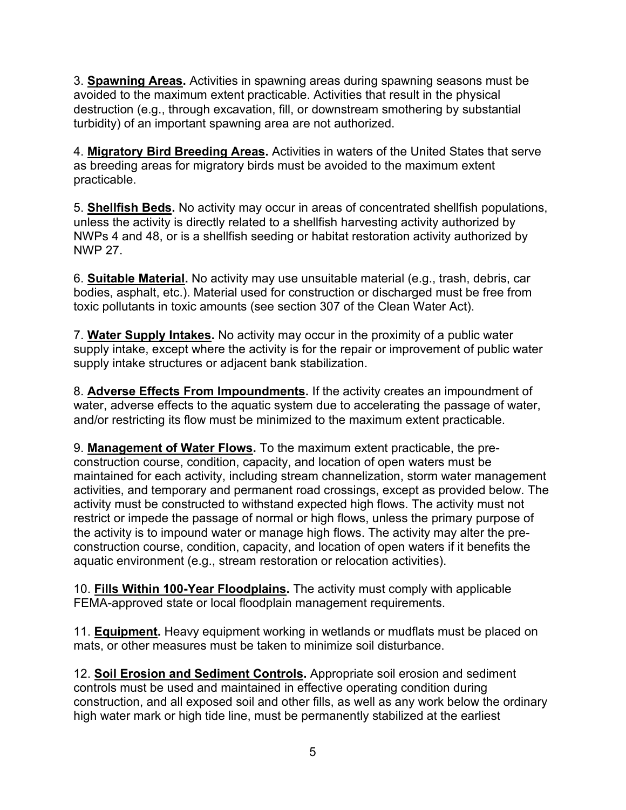3. **Spawning Areas.** Activities in spawning areas during spawning seasons must be avoided to the maximum extent practicable. Activities that result in the physical destruction (e.g., through excavation, fill, or downstream smothering by substantial turbidity) of an important spawning area are not authorized.

4. **Migratory Bird Breeding Areas.** Activities in waters of the United States that serve as breeding areas for migratory birds must be avoided to the maximum extent practicable.

5. **Shellfish Beds.** No activity may occur in areas of concentrated shellfish populations, unless the activity is directly related to a shellfish harvesting activity authorized by NWPs 4 and 48, or is a shellfish seeding or habitat restoration activity authorized by NWP 27.

6. **Suitable Material.** No activity may use unsuitable material (e.g., trash, debris, car bodies, asphalt, etc.). Material used for construction or discharged must be free from toxic pollutants in toxic amounts (see section 307 of the Clean Water Act).

7. **Water Supply Intakes.** No activity may occur in the proximity of a public water supply intake, except where the activity is for the repair or improvement of public water supply intake structures or adjacent bank stabilization.

8. **Adverse Effects From Impoundments.** If the activity creates an impoundment of water, adverse effects to the aquatic system due to accelerating the passage of water, and/or restricting its flow must be minimized to the maximum extent practicable.

9. **Management of Water Flows.** To the maximum extent practicable, the preconstruction course, condition, capacity, and location of open waters must be maintained for each activity, including stream channelization, storm water management activities, and temporary and permanent road crossings, except as provided below. The activity must be constructed to withstand expected high flows. The activity must not restrict or impede the passage of normal or high flows, unless the primary purpose of the activity is to impound water or manage high flows. The activity may alter the preconstruction course, condition, capacity, and location of open waters if it benefits the aquatic environment (e.g., stream restoration or relocation activities).

10. **Fills Within 100-Year Floodplains.** The activity must comply with applicable FEMA-approved state or local floodplain management requirements.

11. **Equipment.** Heavy equipment working in wetlands or mudflats must be placed on mats, or other measures must be taken to minimize soil disturbance.

12. **Soil Erosion and Sediment Controls.** Appropriate soil erosion and sediment controls must be used and maintained in effective operating condition during construction, and all exposed soil and other fills, as well as any work below the ordinary high water mark or high tide line, must be permanently stabilized at the earliest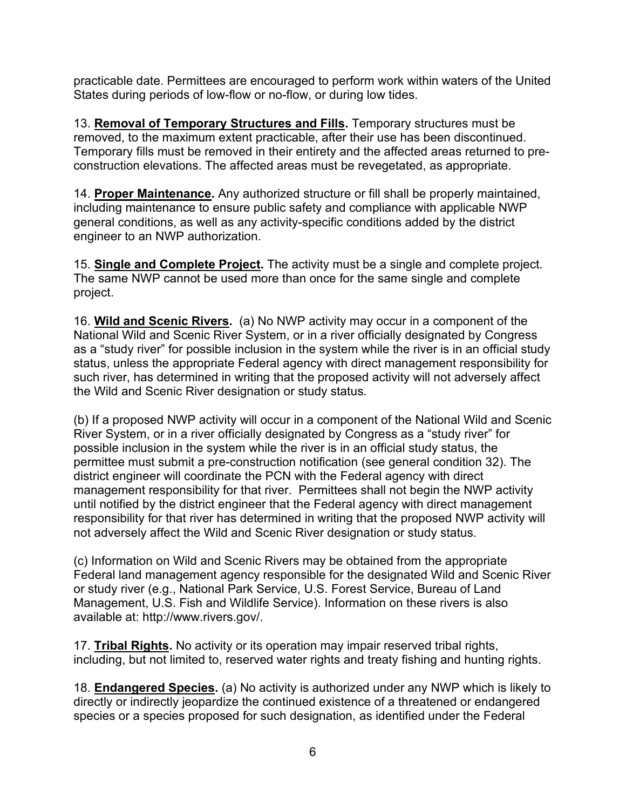practicable date. Permittees are encouraged to perform work within waters of the United States during periods of low-flow or no-flow, or during low tides.

13. **Removal of Temporary Structures and Fills.** Temporary structures must be removed, to the maximum extent practicable, after their use has been discontinued. Temporary fills must be removed in their entirety and the affected areas returned to preconstruction elevations. The affected areas must be revegetated, as appropriate.

14. **Proper Maintenance.** Any authorized structure or fill shall be properly maintained, including maintenance to ensure public safety and compliance with applicable NWP general conditions, as well as any activity-specific conditions added by the district engineer to an NWP authorization.

15. **Single and Complete Project.** The activity must be a single and complete project. The same NWP cannot be used more than once for the same single and complete project.

16. **Wild and Scenic Rivers.** (a) No NWP activity may occur in a component of the National Wild and Scenic River System, or in a river officially designated by Congress as a "study river" for possible inclusion in the system while the river is in an official study status, unless the appropriate Federal agency with direct management responsibility for such river, has determined in writing that the proposed activity will not adversely affect the Wild and Scenic River designation or study status.

(b) If a proposed NWP activity will occur in a component of the National Wild and Scenic River System, or in a river officially designated by Congress as a "study river" for possible inclusion in the system while the river is in an official study status, the permittee must submit a pre-construction notification (see general condition 32). The district engineer will coordinate the PCN with the Federal agency with direct management responsibility for that river. Permittees shall not begin the NWP activity until notified by the district engineer that the Federal agency with direct management responsibility for that river has determined in writing that the proposed NWP activity will not adversely affect the Wild and Scenic River designation or study status.

(c) Information on Wild and Scenic Rivers may be obtained from the appropriate Federal land management agency responsible for the designated Wild and Scenic River or study river (e.g., National Park Service, U.S. Forest Service, Bureau of Land Management, U.S. Fish and Wildlife Service). Information on these rivers is also available at: http://www.rivers.gov/.

17. **Tribal Rights.** No activity or its operation may impair reserved tribal rights, including, but not limited to, reserved water rights and treaty fishing and hunting rights.

18. **Endangered Species.** (a) No activity is authorized under any NWP which is likely to directly or indirectly jeopardize the continued existence of a threatened or endangered species or a species proposed for such designation, as identified under the Federal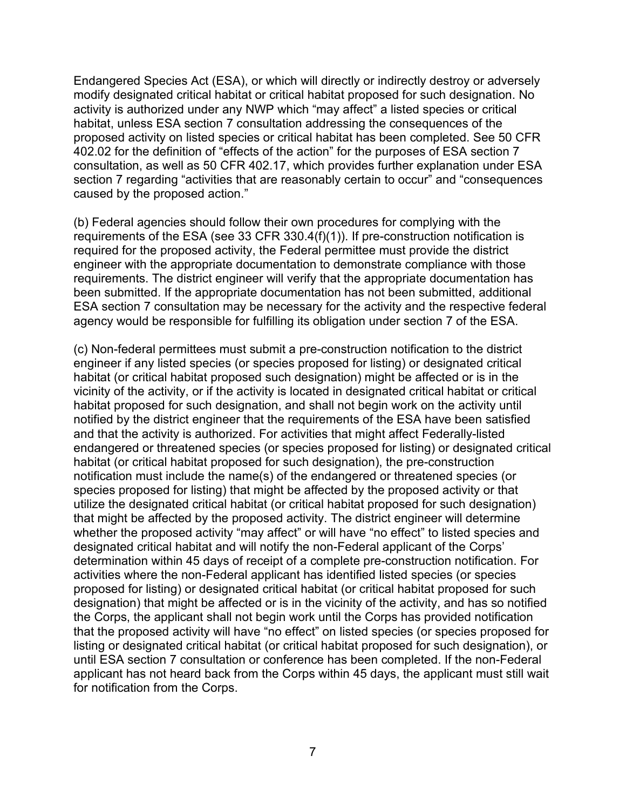Endangered Species Act (ESA), or which will directly or indirectly destroy or adversely modify designated critical habitat or critical habitat proposed for such designation. No activity is authorized under any NWP which "may affect" a listed species or critical habitat, unless ESA section 7 consultation addressing the consequences of the proposed activity on listed species or critical habitat has been completed. See 50 CFR 402.02 for the definition of "effects of the action" for the purposes of ESA section 7 consultation, as well as 50 CFR 402.17, which provides further explanation under ESA section 7 regarding "activities that are reasonably certain to occur" and "consequences caused by the proposed action."

(b) Federal agencies should follow their own procedures for complying with the requirements of the ESA (see 33 CFR 330.4(f)(1)). If pre-construction notification is required for the proposed activity, the Federal permittee must provide the district engineer with the appropriate documentation to demonstrate compliance with those requirements. The district engineer will verify that the appropriate documentation has been submitted. If the appropriate documentation has not been submitted, additional ESA section 7 consultation may be necessary for the activity and the respective federal agency would be responsible for fulfilling its obligation under section 7 of the ESA.

(c) Non-federal permittees must submit a pre-construction notification to the district engineer if any listed species (or species proposed for listing) or designated critical habitat (or critical habitat proposed such designation) might be affected or is in the vicinity of the activity, or if the activity is located in designated critical habitat or critical habitat proposed for such designation, and shall not begin work on the activity until notified by the district engineer that the requirements of the ESA have been satisfied and that the activity is authorized. For activities that might affect Federally-listed endangered or threatened species (or species proposed for listing) or designated critical habitat (or critical habitat proposed for such designation), the pre-construction notification must include the name(s) of the endangered or threatened species (or species proposed for listing) that might be affected by the proposed activity or that utilize the designated critical habitat (or critical habitat proposed for such designation) that might be affected by the proposed activity. The district engineer will determine whether the proposed activity "may affect" or will have "no effect" to listed species and designated critical habitat and will notify the non-Federal applicant of the Corps' determination within 45 days of receipt of a complete pre-construction notification. For activities where the non-Federal applicant has identified listed species (or species proposed for listing) or designated critical habitat (or critical habitat proposed for such designation) that might be affected or is in the vicinity of the activity, and has so notified the Corps, the applicant shall not begin work until the Corps has provided notification that the proposed activity will have "no effect" on listed species (or species proposed for listing or designated critical habitat (or critical habitat proposed for such designation), or until ESA section 7 consultation or conference has been completed. If the non-Federal applicant has not heard back from the Corps within 45 days, the applicant must still wait for notification from the Corps.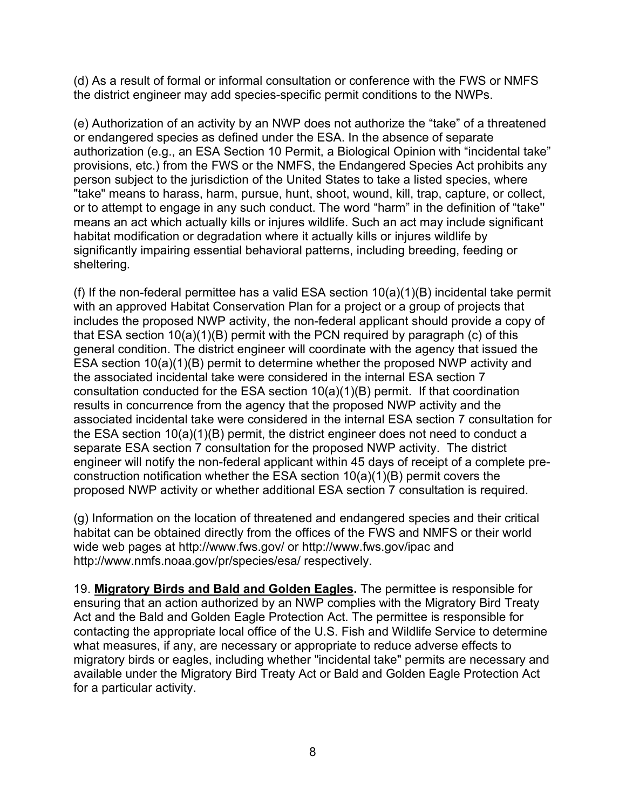(d) As a result of formal or informal consultation or conference with the FWS or NMFS the district engineer may add species-specific permit conditions to the NWPs.

(e) Authorization of an activity by an NWP does not authorize the "take" of a threatened or endangered species as defined under the ESA. In the absence of separate authorization (e.g., an ESA Section 10 Permit, a Biological Opinion with "incidental take" provisions, etc.) from the FWS or the NMFS, the Endangered Species Act prohibits any person subject to the jurisdiction of the United States to take a listed species, where "take" means to harass, harm, pursue, hunt, shoot, wound, kill, trap, capture, or collect, or to attempt to engage in any such conduct. The word "harm" in the definition of "take'' means an act which actually kills or injures wildlife. Such an act may include significant habitat modification or degradation where it actually kills or injures wildlife by significantly impairing essential behavioral patterns, including breeding, feeding or sheltering.

(f) If the non-federal permittee has a valid ESA section  $10(a)(1)(B)$  incidental take permit with an approved Habitat Conservation Plan for a project or a group of projects that includes the proposed NWP activity, the non-federal applicant should provide a copy of that ESA section 10(a)(1)(B) permit with the PCN required by paragraph (c) of this general condition. The district engineer will coordinate with the agency that issued the ESA section 10(a)(1)(B) permit to determine whether the proposed NWP activity and the associated incidental take were considered in the internal ESA section 7 consultation conducted for the ESA section 10(a)(1)(B) permit. If that coordination results in concurrence from the agency that the proposed NWP activity and the associated incidental take were considered in the internal ESA section 7 consultation for the ESA section 10(a)(1)(B) permit, the district engineer does not need to conduct a separate ESA section 7 consultation for the proposed NWP activity. The district engineer will notify the non-federal applicant within 45 days of receipt of a complete preconstruction notification whether the ESA section 10(a)(1)(B) permit covers the proposed NWP activity or whether additional ESA section 7 consultation is required.

(g) Information on the location of threatened and endangered species and their critical habitat can be obtained directly from the offices of the FWS and NMFS or their world wide web pages at http://www.fws.gov/ or http://www.fws.gov/ipac and http://www.nmfs.noaa.gov/pr/species/esa/ respectively.

19. **Migratory Birds and Bald and Golden Eagles.** The permittee is responsible for ensuring that an action authorized by an NWP complies with the Migratory Bird Treaty Act and the Bald and Golden Eagle Protection Act. The permittee is responsible for contacting the appropriate local office of the U.S. Fish and Wildlife Service to determine what measures, if any, are necessary or appropriate to reduce adverse effects to migratory birds or eagles, including whether "incidental take" permits are necessary and available under the Migratory Bird Treaty Act or Bald and Golden Eagle Protection Act for a particular activity.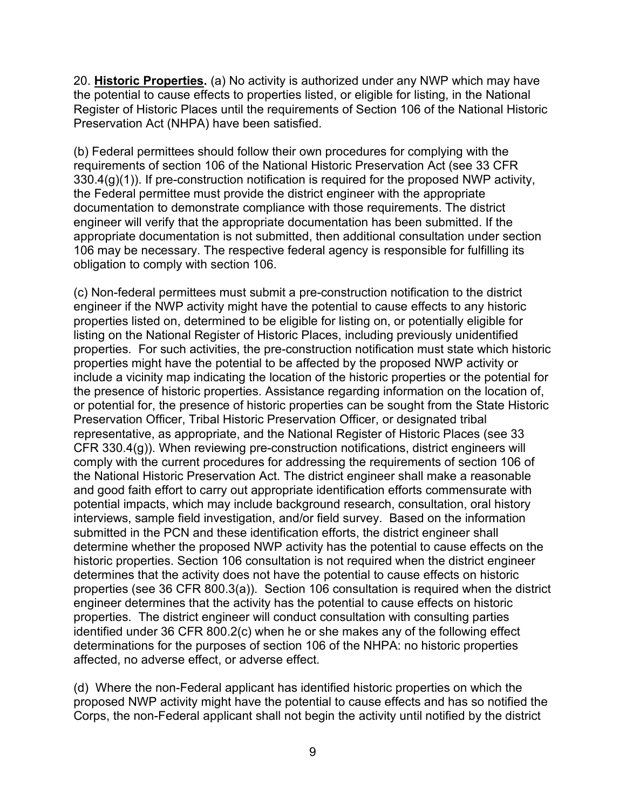20. **Historic Properties.** (a) No activity is authorized under any NWP which may have the potential to cause effects to properties listed, or eligible for listing, in the National Register of Historic Places until the requirements of Section 106 of the National Historic Preservation Act (NHPA) have been satisfied.

(b) Federal permittees should follow their own procedures for complying with the requirements of section 106 of the National Historic Preservation Act (see 33 CFR 330.4(g)(1)). If pre-construction notification is required for the proposed NWP activity, the Federal permittee must provide the district engineer with the appropriate documentation to demonstrate compliance with those requirements. The district engineer will verify that the appropriate documentation has been submitted. If the appropriate documentation is not submitted, then additional consultation under section 106 may be necessary. The respective federal agency is responsible for fulfilling its obligation to comply with section 106.

(c) Non-federal permittees must submit a pre-construction notification to the district engineer if the NWP activity might have the potential to cause effects to any historic properties listed on, determined to be eligible for listing on, or potentially eligible for listing on the National Register of Historic Places, including previously unidentified properties. For such activities, the pre-construction notification must state which historic properties might have the potential to be affected by the proposed NWP activity or include a vicinity map indicating the location of the historic properties or the potential for the presence of historic properties. Assistance regarding information on the location of, or potential for, the presence of historic properties can be sought from the State Historic Preservation Officer, Tribal Historic Preservation Officer, or designated tribal representative, as appropriate, and the National Register of Historic Places (see 33 CFR 330.4(g)). When reviewing pre-construction notifications, district engineers will comply with the current procedures for addressing the requirements of section 106 of the National Historic Preservation Act. The district engineer shall make a reasonable and good faith effort to carry out appropriate identification efforts commensurate with potential impacts, which may include background research, consultation, oral history interviews, sample field investigation, and/or field survey. Based on the information submitted in the PCN and these identification efforts, the district engineer shall determine whether the proposed NWP activity has the potential to cause effects on the historic properties. Section 106 consultation is not required when the district engineer determines that the activity does not have the potential to cause effects on historic properties (see 36 CFR 800.3(a)). Section 106 consultation is required when the district engineer determines that the activity has the potential to cause effects on historic properties. The district engineer will conduct consultation with consulting parties identified under 36 CFR 800.2(c) when he or she makes any of the following effect determinations for the purposes of section 106 of the NHPA: no historic properties affected, no adverse effect, or adverse effect.

(d) Where the non-Federal applicant has identified historic properties on which the proposed NWP activity might have the potential to cause effects and has so notified the Corps, the non-Federal applicant shall not begin the activity until notified by the district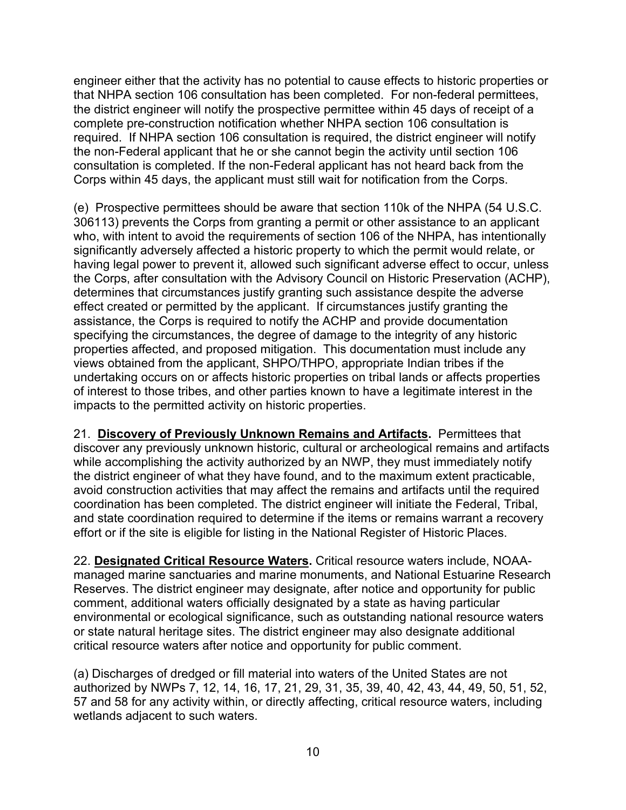engineer either that the activity has no potential to cause effects to historic properties or that NHPA section 106 consultation has been completed. For non-federal permittees, the district engineer will notify the prospective permittee within 45 days of receipt of a complete pre-construction notification whether NHPA section 106 consultation is required. If NHPA section 106 consultation is required, the district engineer will notify the non-Federal applicant that he or she cannot begin the activity until section 106 consultation is completed. If the non-Federal applicant has not heard back from the Corps within 45 days, the applicant must still wait for notification from the Corps.

(e) Prospective permittees should be aware that section 110k of the NHPA (54 U.S.C. 306113) prevents the Corps from granting a permit or other assistance to an applicant who, with intent to avoid the requirements of section 106 of the NHPA, has intentionally significantly adversely affected a historic property to which the permit would relate, or having legal power to prevent it, allowed such significant adverse effect to occur, unless the Corps, after consultation with the Advisory Council on Historic Preservation (ACHP), determines that circumstances justify granting such assistance despite the adverse effect created or permitted by the applicant. If circumstances justify granting the assistance, the Corps is required to notify the ACHP and provide documentation specifying the circumstances, the degree of damage to the integrity of any historic properties affected, and proposed mitigation. This documentation must include any views obtained from the applicant, SHPO/THPO, appropriate Indian tribes if the undertaking occurs on or affects historic properties on tribal lands or affects properties of interest to those tribes, and other parties known to have a legitimate interest in the impacts to the permitted activity on historic properties.

21. **Discovery of Previously Unknown Remains and Artifacts.** Permittees that discover any previously unknown historic, cultural or archeological remains and artifacts while accomplishing the activity authorized by an NWP, they must immediately notify the district engineer of what they have found, and to the maximum extent practicable, avoid construction activities that may affect the remains and artifacts until the required coordination has been completed. The district engineer will initiate the Federal, Tribal, and state coordination required to determine if the items or remains warrant a recovery effort or if the site is eligible for listing in the National Register of Historic Places.

22. **Designated Critical Resource Waters.** Critical resource waters include, NOAAmanaged marine sanctuaries and marine monuments, and National Estuarine Research Reserves. The district engineer may designate, after notice and opportunity for public comment, additional waters officially designated by a state as having particular environmental or ecological significance, such as outstanding national resource waters or state natural heritage sites. The district engineer may also designate additional critical resource waters after notice and opportunity for public comment.

(a) Discharges of dredged or fill material into waters of the United States are not authorized by NWPs 7, 12, 14, 16, 17, 21, 29, 31, 35, 39, 40, 42, 43, 44, 49, 50, 51, 52, 57 and 58 for any activity within, or directly affecting, critical resource waters, including wetlands adjacent to such waters.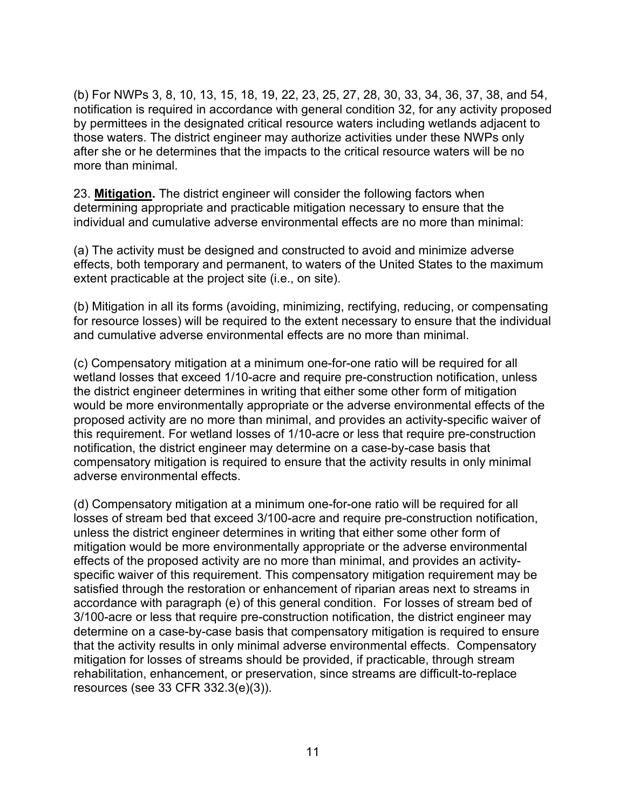(b) For NWPs 3, 8, 10, 13, 15, 18, 19, 22, 23, 25, 27, 28, 30, 33, 34, 36, 37, 38, and 54, notification is required in accordance with general condition 32, for any activity proposed by permittees in the designated critical resource waters including wetlands adjacent to those waters. The district engineer may authorize activities under these NWPs only after she or he determines that the impacts to the critical resource waters will be no more than minimal.

23. **Mitigation.** The district engineer will consider the following factors when determining appropriate and practicable mitigation necessary to ensure that the individual and cumulative adverse environmental effects are no more than minimal:

(a) The activity must be designed and constructed to avoid and minimize adverse effects, both temporary and permanent, to waters of the United States to the maximum extent practicable at the project site (i.e., on site).

(b) Mitigation in all its forms (avoiding, minimizing, rectifying, reducing, or compensating for resource losses) will be required to the extent necessary to ensure that the individual and cumulative adverse environmental effects are no more than minimal.

(c) Compensatory mitigation at a minimum one-for-one ratio will be required for all wetland losses that exceed 1/10-acre and require pre-construction notification, unless the district engineer determines in writing that either some other form of mitigation would be more environmentally appropriate or the adverse environmental effects of the proposed activity are no more than minimal, and provides an activity-specific waiver of this requirement. For wetland losses of 1/10-acre or less that require pre-construction notification, the district engineer may determine on a case-by-case basis that compensatory mitigation is required to ensure that the activity results in only minimal adverse environmental effects.

(d) Compensatory mitigation at a minimum one-for-one ratio will be required for all losses of stream bed that exceed 3/100-acre and require pre-construction notification, unless the district engineer determines in writing that either some other form of mitigation would be more environmentally appropriate or the adverse environmental effects of the proposed activity are no more than minimal, and provides an activityspecific waiver of this requirement. This compensatory mitigation requirement may be satisfied through the restoration or enhancement of riparian areas next to streams in accordance with paragraph (e) of this general condition. For losses of stream bed of 3/100-acre or less that require pre-construction notification, the district engineer may determine on a case-by-case basis that compensatory mitigation is required to ensure that the activity results in only minimal adverse environmental effects. Compensatory mitigation for losses of streams should be provided, if practicable, through stream rehabilitation, enhancement, or preservation, since streams are difficult-to-replace resources (see 33 CFR 332.3(e)(3)).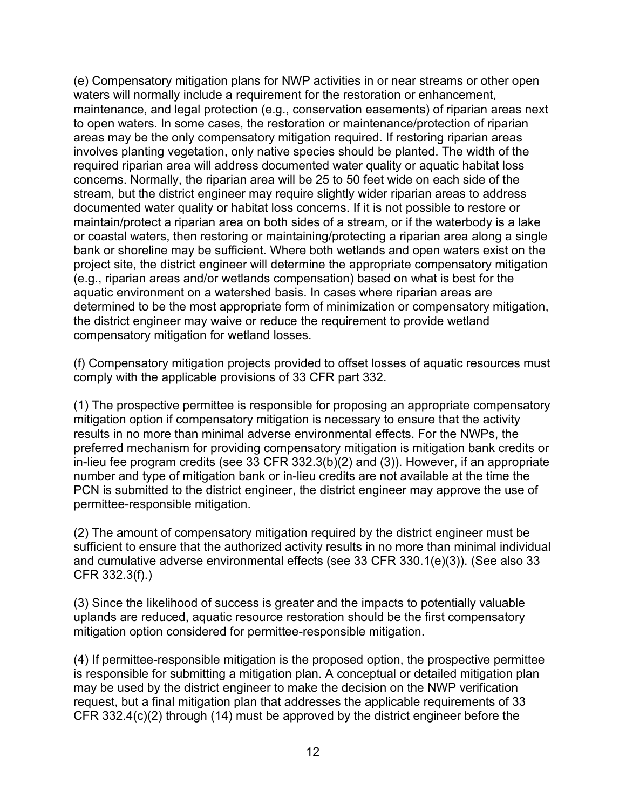(e) Compensatory mitigation plans for NWP activities in or near streams or other open waters will normally include a requirement for the restoration or enhancement, maintenance, and legal protection (e.g., conservation easements) of riparian areas next to open waters. In some cases, the restoration or maintenance/protection of riparian areas may be the only compensatory mitigation required. If restoring riparian areas involves planting vegetation, only native species should be planted. The width of the required riparian area will address documented water quality or aquatic habitat loss concerns. Normally, the riparian area will be 25 to 50 feet wide on each side of the stream, but the district engineer may require slightly wider riparian areas to address documented water quality or habitat loss concerns. If it is not possible to restore or maintain/protect a riparian area on both sides of a stream, or if the waterbody is a lake or coastal waters, then restoring or maintaining/protecting a riparian area along a single bank or shoreline may be sufficient. Where both wetlands and open waters exist on the project site, the district engineer will determine the appropriate compensatory mitigation (e.g., riparian areas and/or wetlands compensation) based on what is best for the aquatic environment on a watershed basis. In cases where riparian areas are determined to be the most appropriate form of minimization or compensatory mitigation, the district engineer may waive or reduce the requirement to provide wetland compensatory mitigation for wetland losses.

(f) Compensatory mitigation projects provided to offset losses of aquatic resources must comply with the applicable provisions of 33 CFR part 332.

(1) The prospective permittee is responsible for proposing an appropriate compensatory mitigation option if compensatory mitigation is necessary to ensure that the activity results in no more than minimal adverse environmental effects. For the NWPs, the preferred mechanism for providing compensatory mitigation is mitigation bank credits or in-lieu fee program credits (see 33 CFR 332.3(b)(2) and (3)). However, if an appropriate number and type of mitigation bank or in-lieu credits are not available at the time the PCN is submitted to the district engineer, the district engineer may approve the use of permittee-responsible mitigation.

(2) The amount of compensatory mitigation required by the district engineer must be sufficient to ensure that the authorized activity results in no more than minimal individual and cumulative adverse environmental effects (see 33 CFR 330.1(e)(3)). (See also 33 CFR 332.3(f).)

(3) Since the likelihood of success is greater and the impacts to potentially valuable uplands are reduced, aquatic resource restoration should be the first compensatory mitigation option considered for permittee-responsible mitigation.

(4) If permittee-responsible mitigation is the proposed option, the prospective permittee is responsible for submitting a mitigation plan. A conceptual or detailed mitigation plan may be used by the district engineer to make the decision on the NWP verification request, but a final mitigation plan that addresses the applicable requirements of 33 CFR 332.4(c)(2) through (14) must be approved by the district engineer before the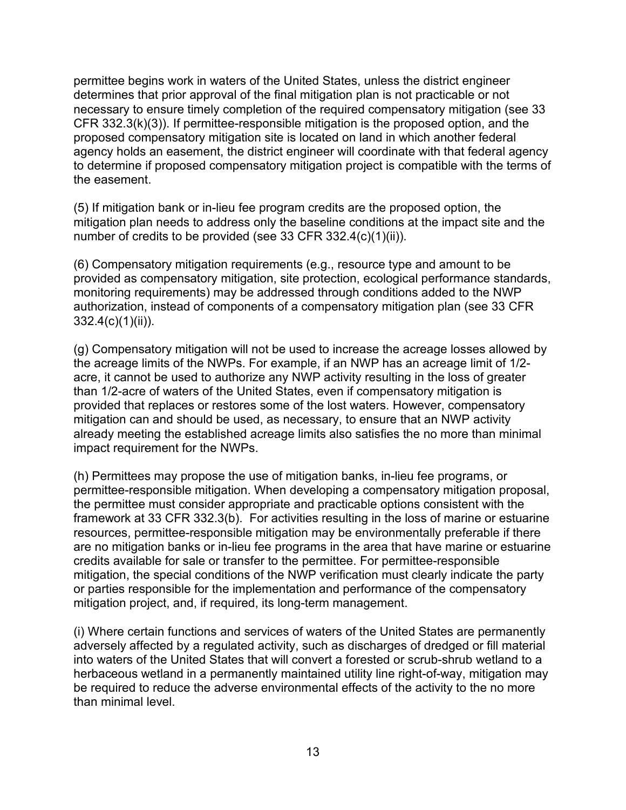permittee begins work in waters of the United States, unless the district engineer determines that prior approval of the final mitigation plan is not practicable or not necessary to ensure timely completion of the required compensatory mitigation (see 33 CFR 332.3(k)(3)). If permittee-responsible mitigation is the proposed option, and the proposed compensatory mitigation site is located on land in which another federal agency holds an easement, the district engineer will coordinate with that federal agency to determine if proposed compensatory mitigation project is compatible with the terms of the easement.

(5) If mitigation bank or in-lieu fee program credits are the proposed option, the mitigation plan needs to address only the baseline conditions at the impact site and the number of credits to be provided (see 33 CFR 332.4(c)(1)(ii)).

(6) Compensatory mitigation requirements (e.g., resource type and amount to be provided as compensatory mitigation, site protection, ecological performance standards, monitoring requirements) may be addressed through conditions added to the NWP authorization, instead of components of a compensatory mitigation plan (see 33 CFR 332.4(c)(1)(ii)).

(g) Compensatory mitigation will not be used to increase the acreage losses allowed by the acreage limits of the NWPs. For example, if an NWP has an acreage limit of 1/2 acre, it cannot be used to authorize any NWP activity resulting in the loss of greater than 1/2-acre of waters of the United States, even if compensatory mitigation is provided that replaces or restores some of the lost waters. However, compensatory mitigation can and should be used, as necessary, to ensure that an NWP activity already meeting the established acreage limits also satisfies the no more than minimal impact requirement for the NWPs.

(h) Permittees may propose the use of mitigation banks, in-lieu fee programs, or permittee-responsible mitigation. When developing a compensatory mitigation proposal, the permittee must consider appropriate and practicable options consistent with the framework at 33 CFR 332.3(b). For activities resulting in the loss of marine or estuarine resources, permittee-responsible mitigation may be environmentally preferable if there are no mitigation banks or in-lieu fee programs in the area that have marine or estuarine credits available for sale or transfer to the permittee. For permittee-responsible mitigation, the special conditions of the NWP verification must clearly indicate the party or parties responsible for the implementation and performance of the compensatory mitigation project, and, if required, its long-term management.

(i) Where certain functions and services of waters of the United States are permanently adversely affected by a regulated activity, such as discharges of dredged or fill material into waters of the United States that will convert a forested or scrub-shrub wetland to a herbaceous wetland in a permanently maintained utility line right-of-way, mitigation may be required to reduce the adverse environmental effects of the activity to the no more than minimal level.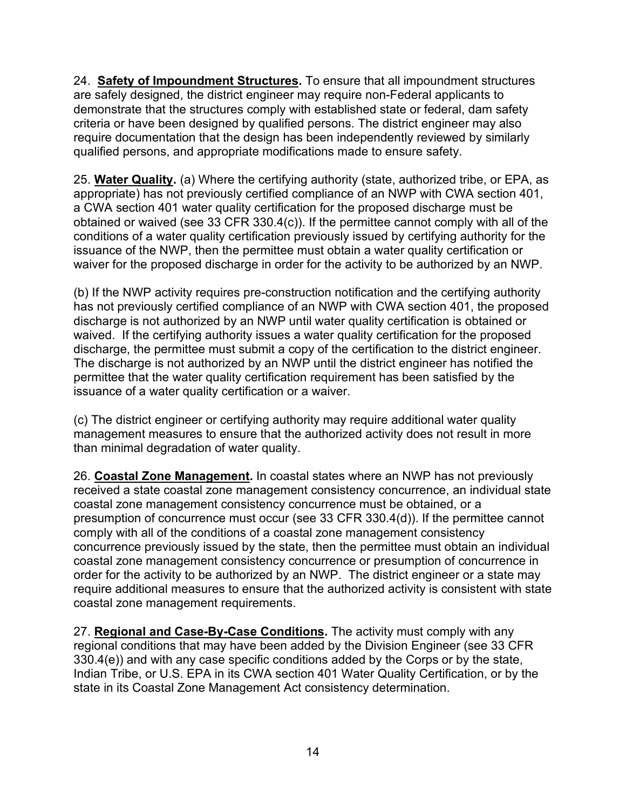24. **Safety of Impoundment Structures.** To ensure that all impoundment structures are safely designed, the district engineer may require non-Federal applicants to demonstrate that the structures comply with established state or federal, dam safety criteria or have been designed by qualified persons. The district engineer may also require documentation that the design has been independently reviewed by similarly qualified persons, and appropriate modifications made to ensure safety.

25. **Water Quality.** (a) Where the certifying authority (state, authorized tribe, or EPA, as appropriate) has not previously certified compliance of an NWP with CWA section 401, a CWA section 401 water quality certification for the proposed discharge must be obtained or waived (see 33 CFR 330.4(c)). If the permittee cannot comply with all of the conditions of a water quality certification previously issued by certifying authority for the issuance of the NWP, then the permittee must obtain a water quality certification or waiver for the proposed discharge in order for the activity to be authorized by an NWP.

(b) If the NWP activity requires pre-construction notification and the certifying authority has not previously certified compliance of an NWP with CWA section 401, the proposed discharge is not authorized by an NWP until water quality certification is obtained or waived. If the certifying authority issues a water quality certification for the proposed discharge, the permittee must submit a copy of the certification to the district engineer. The discharge is not authorized by an NWP until the district engineer has notified the permittee that the water quality certification requirement has been satisfied by the issuance of a water quality certification or a waiver.

(c) The district engineer or certifying authority may require additional water quality management measures to ensure that the authorized activity does not result in more than minimal degradation of water quality.

26. **Coastal Zone Management.** In coastal states where an NWP has not previously received a state coastal zone management consistency concurrence, an individual state coastal zone management consistency concurrence must be obtained, or a presumption of concurrence must occur (see 33 CFR 330.4(d)). If the permittee cannot comply with all of the conditions of a coastal zone management consistency concurrence previously issued by the state, then the permittee must obtain an individual coastal zone management consistency concurrence or presumption of concurrence in order for the activity to be authorized by an NWP. The district engineer or a state may require additional measures to ensure that the authorized activity is consistent with state coastal zone management requirements.

27. **Regional and Case-By-Case Conditions.** The activity must comply with any regional conditions that may have been added by the Division Engineer (see 33 CFR 330.4(e)) and with any case specific conditions added by the Corps or by the state, Indian Tribe, or U.S. EPA in its CWA section 401 Water Quality Certification, or by the state in its Coastal Zone Management Act consistency determination.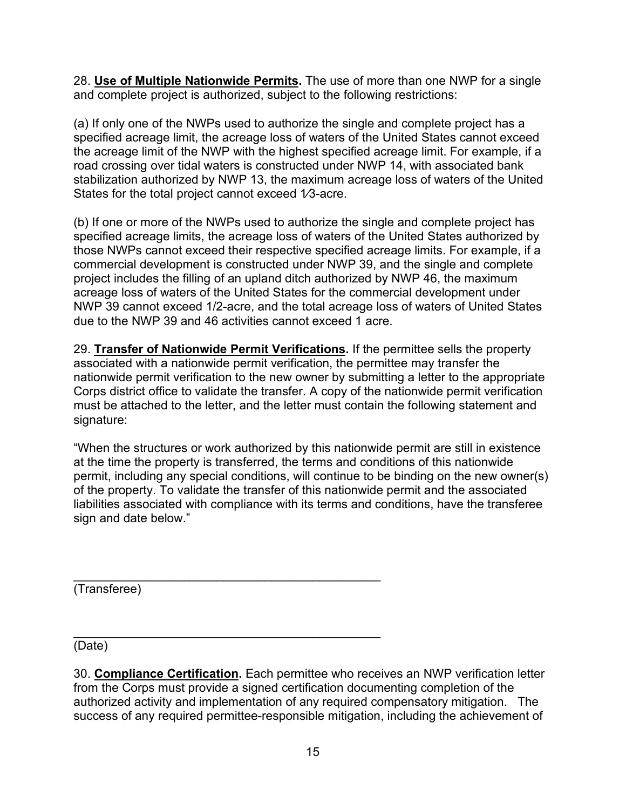28. **Use of Multiple Nationwide Permits.** The use of more than one NWP for a single and complete project is authorized, subject to the following restrictions:

(a) If only one of the NWPs used to authorize the single and complete project has a specified acreage limit, the acreage loss of waters of the United States cannot exceed the acreage limit of the NWP with the highest specified acreage limit. For example, if a road crossing over tidal waters is constructed under NWP 14, with associated bank stabilization authorized by NWP 13, the maximum acreage loss of waters of the United States for the total project cannot exceed 1/3-acre.

(b) If one or more of the NWPs used to authorize the single and complete project has specified acreage limits, the acreage loss of waters of the United States authorized by those NWPs cannot exceed their respective specified acreage limits. For example, if a commercial development is constructed under NWP 39, and the single and complete project includes the filling of an upland ditch authorized by NWP 46, the maximum acreage loss of waters of the United States for the commercial development under NWP 39 cannot exceed 1/2-acre, and the total acreage loss of waters of United States due to the NWP 39 and 46 activities cannot exceed 1 acre.

29. **Transfer of Nationwide Permit Verifications.** If the permittee sells the property associated with a nationwide permit verification, the permittee may transfer the nationwide permit verification to the new owner by submitting a letter to the appropriate Corps district office to validate the transfer. A copy of the nationwide permit verification must be attached to the letter, and the letter must contain the following statement and signature:

"When the structures or work authorized by this nationwide permit are still in existence at the time the property is transferred, the terms and conditions of this nationwide permit, including any special conditions, will continue to be binding on the new owner(s) of the property. To validate the transfer of this nationwide permit and the associated liabilities associated with compliance with its terms and conditions, have the transferee sign and date below."

\_\_\_\_\_\_\_\_\_\_\_\_\_\_\_\_\_\_\_\_\_\_\_\_\_\_\_\_\_\_\_\_\_\_\_\_\_\_\_\_\_\_\_\_\_ (Transferee)

(Date)

30. **Compliance Certification.** Each permittee who receives an NWP verification letter from the Corps must provide a signed certification documenting completion of the authorized activity and implementation of any required compensatory mitigation. The success of any required permittee-responsible mitigation, including the achievement of

\_\_\_\_\_\_\_\_\_\_\_\_\_\_\_\_\_\_\_\_\_\_\_\_\_\_\_\_\_\_\_\_\_\_\_\_\_\_\_\_\_\_\_\_\_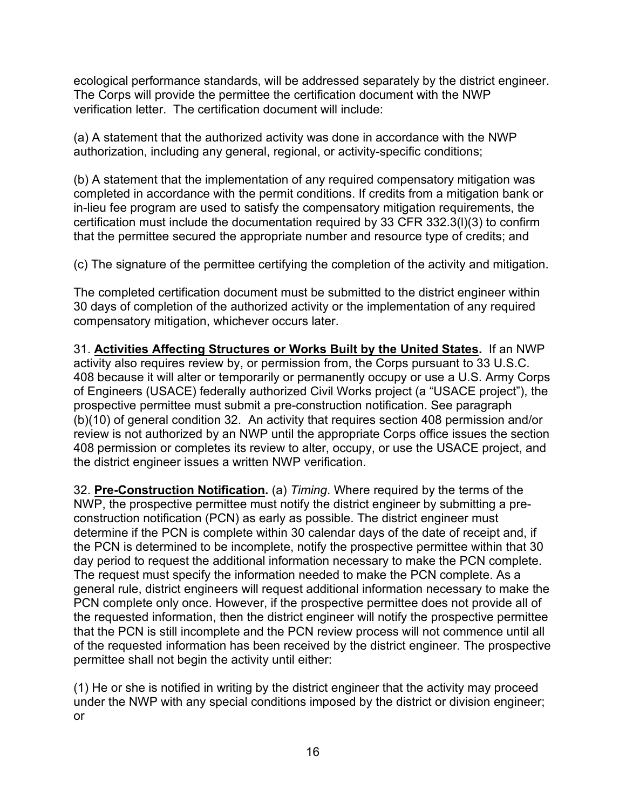ecological performance standards, will be addressed separately by the district engineer. The Corps will provide the permittee the certification document with the NWP verification letter. The certification document will include:

(a) A statement that the authorized activity was done in accordance with the NWP authorization, including any general, regional, or activity-specific conditions;

(b) A statement that the implementation of any required compensatory mitigation was completed in accordance with the permit conditions. If credits from a mitigation bank or in-lieu fee program are used to satisfy the compensatory mitigation requirements, the certification must include the documentation required by 33 CFR 332.3(l)(3) to confirm that the permittee secured the appropriate number and resource type of credits; and

(c) The signature of the permittee certifying the completion of the activity and mitigation.

The completed certification document must be submitted to the district engineer within 30 days of completion of the authorized activity or the implementation of any required compensatory mitigation, whichever occurs later.

31. **Activities Affecting Structures or Works Built by the United States.** If an NWP activity also requires review by, or permission from, the Corps pursuant to 33 U.S.C. 408 because it will alter or temporarily or permanently occupy or use a U.S. Army Corps of Engineers (USACE) federally authorized Civil Works project (a "USACE project"), the prospective permittee must submit a pre-construction notification. See paragraph (b)(10) of general condition 32. An activity that requires section 408 permission and/or review is not authorized by an NWP until the appropriate Corps office issues the section 408 permission or completes its review to alter, occupy, or use the USACE project, and the district engineer issues a written NWP verification.

32. **Pre-Construction Notification.** (a) *Timing*. Where required by the terms of the NWP, the prospective permittee must notify the district engineer by submitting a preconstruction notification (PCN) as early as possible. The district engineer must determine if the PCN is complete within 30 calendar days of the date of receipt and, if the PCN is determined to be incomplete, notify the prospective permittee within that 30 day period to request the additional information necessary to make the PCN complete. The request must specify the information needed to make the PCN complete. As a general rule, district engineers will request additional information necessary to make the PCN complete only once. However, if the prospective permittee does not provide all of the requested information, then the district engineer will notify the prospective permittee that the PCN is still incomplete and the PCN review process will not commence until all of the requested information has been received by the district engineer. The prospective permittee shall not begin the activity until either:

(1) He or she is notified in writing by the district engineer that the activity may proceed under the NWP with any special conditions imposed by the district or division engineer; or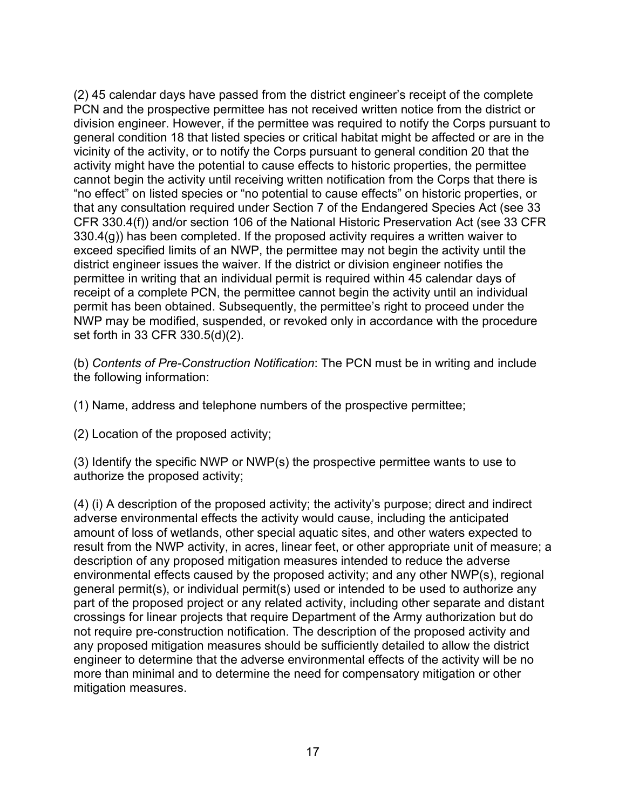(2) 45 calendar days have passed from the district engineer's receipt of the complete PCN and the prospective permittee has not received written notice from the district or division engineer. However, if the permittee was required to notify the Corps pursuant to general condition 18 that listed species or critical habitat might be affected or are in the vicinity of the activity, or to notify the Corps pursuant to general condition 20 that the activity might have the potential to cause effects to historic properties, the permittee cannot begin the activity until receiving written notification from the Corps that there is "no effect" on listed species or "no potential to cause effects" on historic properties, or that any consultation required under Section 7 of the Endangered Species Act (see 33 CFR 330.4(f)) and/or section 106 of the National Historic Preservation Act (see 33 CFR 330.4(g)) has been completed. If the proposed activity requires a written waiver to exceed specified limits of an NWP, the permittee may not begin the activity until the district engineer issues the waiver. If the district or division engineer notifies the permittee in writing that an individual permit is required within 45 calendar days of receipt of a complete PCN, the permittee cannot begin the activity until an individual permit has been obtained. Subsequently, the permittee's right to proceed under the NWP may be modified, suspended, or revoked only in accordance with the procedure set forth in 33 CFR 330.5(d)(2).

(b) *Contents of Pre-Construction Notification*: The PCN must be in writing and include the following information:

(1) Name, address and telephone numbers of the prospective permittee;

(2) Location of the proposed activity;

(3) Identify the specific NWP or NWP(s) the prospective permittee wants to use to authorize the proposed activity;

(4) (i) A description of the proposed activity; the activity's purpose; direct and indirect adverse environmental effects the activity would cause, including the anticipated amount of loss of wetlands, other special aquatic sites, and other waters expected to result from the NWP activity, in acres, linear feet, or other appropriate unit of measure; a description of any proposed mitigation measures intended to reduce the adverse environmental effects caused by the proposed activity; and any other NWP(s), regional general permit(s), or individual permit(s) used or intended to be used to authorize any part of the proposed project or any related activity, including other separate and distant crossings for linear projects that require Department of the Army authorization but do not require pre-construction notification. The description of the proposed activity and any proposed mitigation measures should be sufficiently detailed to allow the district engineer to determine that the adverse environmental effects of the activity will be no more than minimal and to determine the need for compensatory mitigation or other mitigation measures.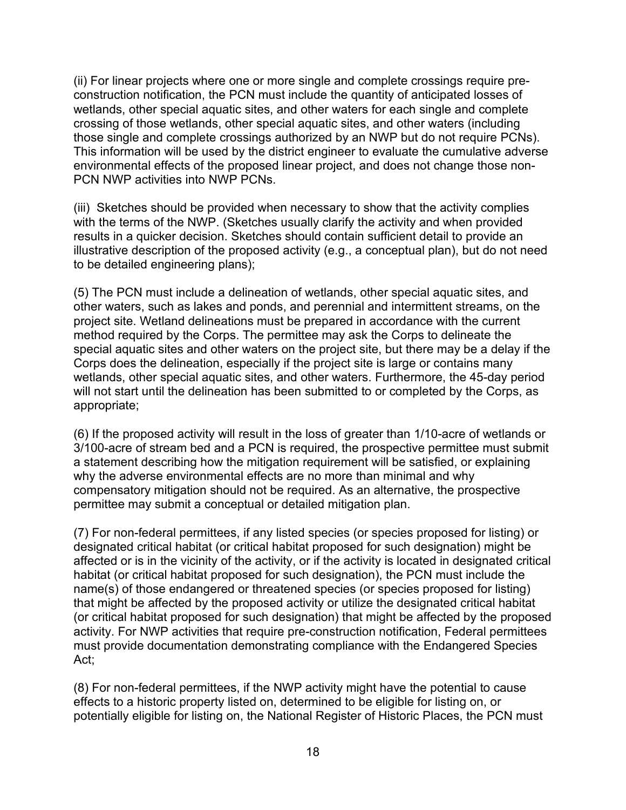(ii) For linear projects where one or more single and complete crossings require preconstruction notification, the PCN must include the quantity of anticipated losses of wetlands, other special aquatic sites, and other waters for each single and complete crossing of those wetlands, other special aquatic sites, and other waters (including those single and complete crossings authorized by an NWP but do not require PCNs). This information will be used by the district engineer to evaluate the cumulative adverse environmental effects of the proposed linear project, and does not change those non-PCN NWP activities into NWP PCNs.

(iii) Sketches should be provided when necessary to show that the activity complies with the terms of the NWP. (Sketches usually clarify the activity and when provided results in a quicker decision. Sketches should contain sufficient detail to provide an illustrative description of the proposed activity (e.g., a conceptual plan), but do not need to be detailed engineering plans);

(5) The PCN must include a delineation of wetlands, other special aquatic sites, and other waters, such as lakes and ponds, and perennial and intermittent streams, on the project site. Wetland delineations must be prepared in accordance with the current method required by the Corps. The permittee may ask the Corps to delineate the special aquatic sites and other waters on the project site, but there may be a delay if the Corps does the delineation, especially if the project site is large or contains many wetlands, other special aquatic sites, and other waters. Furthermore, the 45-day period will not start until the delineation has been submitted to or completed by the Corps, as appropriate;

(6) If the proposed activity will result in the loss of greater than 1/10-acre of wetlands or 3/100-acre of stream bed and a PCN is required, the prospective permittee must submit a statement describing how the mitigation requirement will be satisfied, or explaining why the adverse environmental effects are no more than minimal and why compensatory mitigation should not be required. As an alternative, the prospective permittee may submit a conceptual or detailed mitigation plan.

(7) For non-federal permittees, if any listed species (or species proposed for listing) or designated critical habitat (or critical habitat proposed for such designation) might be affected or is in the vicinity of the activity, or if the activity is located in designated critical habitat (or critical habitat proposed for such designation), the PCN must include the name(s) of those endangered or threatened species (or species proposed for listing) that might be affected by the proposed activity or utilize the designated critical habitat (or critical habitat proposed for such designation) that might be affected by the proposed activity. For NWP activities that require pre-construction notification, Federal permittees must provide documentation demonstrating compliance with the Endangered Species Act;

(8) For non-federal permittees, if the NWP activity might have the potential to cause effects to a historic property listed on, determined to be eligible for listing on, or potentially eligible for listing on, the National Register of Historic Places, the PCN must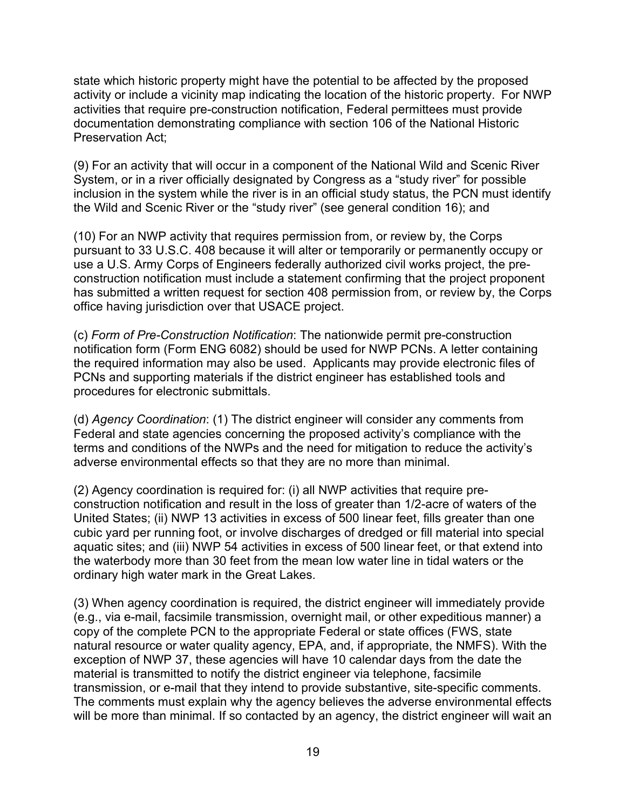state which historic property might have the potential to be affected by the proposed activity or include a vicinity map indicating the location of the historic property. For NWP activities that require pre-construction notification, Federal permittees must provide documentation demonstrating compliance with section 106 of the National Historic Preservation Act;

(9) For an activity that will occur in a component of the National Wild and Scenic River System, or in a river officially designated by Congress as a "study river" for possible inclusion in the system while the river is in an official study status, the PCN must identify the Wild and Scenic River or the "study river" (see general condition 16); and

(10) For an NWP activity that requires permission from, or review by, the Corps pursuant to 33 U.S.C. 408 because it will alter or temporarily or permanently occupy or use a U.S. Army Corps of Engineers federally authorized civil works project, the preconstruction notification must include a statement confirming that the project proponent has submitted a written request for section 408 permission from, or review by, the Corps office having jurisdiction over that USACE project.

(c) *Form of Pre-Construction Notification*: The nationwide permit pre-construction notification form (Form ENG 6082) should be used for NWP PCNs. A letter containing the required information may also be used. Applicants may provide electronic files of PCNs and supporting materials if the district engineer has established tools and procedures for electronic submittals.

(d) *Agency Coordination*: (1) The district engineer will consider any comments from Federal and state agencies concerning the proposed activity's compliance with the terms and conditions of the NWPs and the need for mitigation to reduce the activity's adverse environmental effects so that they are no more than minimal.

(2) Agency coordination is required for: (i) all NWP activities that require preconstruction notification and result in the loss of greater than 1/2-acre of waters of the United States; (ii) NWP 13 activities in excess of 500 linear feet, fills greater than one cubic yard per running foot, or involve discharges of dredged or fill material into special aquatic sites; and (iii) NWP 54 activities in excess of 500 linear feet, or that extend into the waterbody more than 30 feet from the mean low water line in tidal waters or the ordinary high water mark in the Great Lakes.

(3) When agency coordination is required, the district engineer will immediately provide (e.g., via e-mail, facsimile transmission, overnight mail, or other expeditious manner) a copy of the complete PCN to the appropriate Federal or state offices (FWS, state natural resource or water quality agency, EPA, and, if appropriate, the NMFS). With the exception of NWP 37, these agencies will have 10 calendar days from the date the material is transmitted to notify the district engineer via telephone, facsimile transmission, or e-mail that they intend to provide substantive, site-specific comments. The comments must explain why the agency believes the adverse environmental effects will be more than minimal. If so contacted by an agency, the district engineer will wait an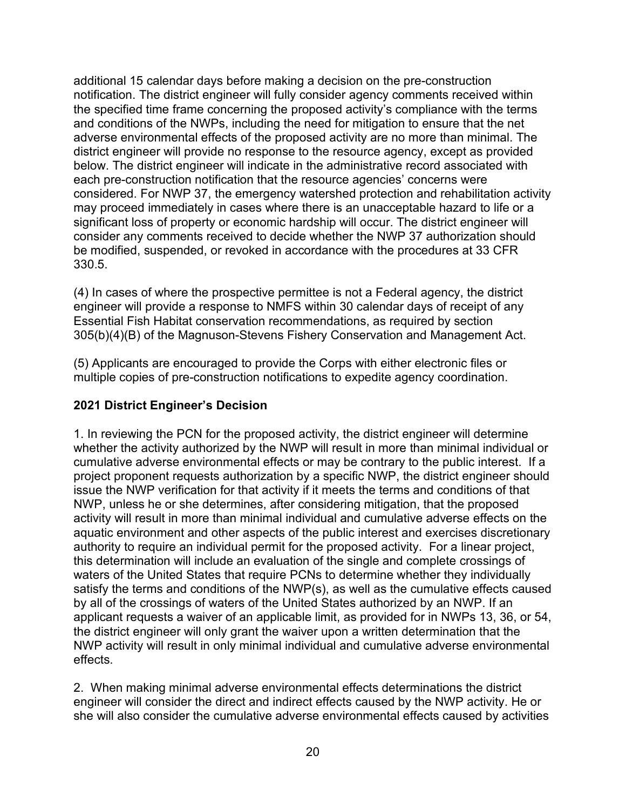additional 15 calendar days before making a decision on the pre-construction notification. The district engineer will fully consider agency comments received within the specified time frame concerning the proposed activity's compliance with the terms and conditions of the NWPs, including the need for mitigation to ensure that the net adverse environmental effects of the proposed activity are no more than minimal. The district engineer will provide no response to the resource agency, except as provided below. The district engineer will indicate in the administrative record associated with each pre-construction notification that the resource agencies' concerns were considered. For NWP 37, the emergency watershed protection and rehabilitation activity may proceed immediately in cases where there is an unacceptable hazard to life or a significant loss of property or economic hardship will occur. The district engineer will consider any comments received to decide whether the NWP 37 authorization should be modified, suspended, or revoked in accordance with the procedures at 33 CFR 330.5.

(4) In cases of where the prospective permittee is not a Federal agency, the district engineer will provide a response to NMFS within 30 calendar days of receipt of any Essential Fish Habitat conservation recommendations, as required by section 305(b)(4)(B) of the Magnuson-Stevens Fishery Conservation and Management Act.

(5) Applicants are encouraged to provide the Corps with either electronic files or multiple copies of pre-construction notifications to expedite agency coordination.

## **2021 District Engineer's Decision**

1. In reviewing the PCN for the proposed activity, the district engineer will determine whether the activity authorized by the NWP will result in more than minimal individual or cumulative adverse environmental effects or may be contrary to the public interest. If a project proponent requests authorization by a specific NWP, the district engineer should issue the NWP verification for that activity if it meets the terms and conditions of that NWP, unless he or she determines, after considering mitigation, that the proposed activity will result in more than minimal individual and cumulative adverse effects on the aquatic environment and other aspects of the public interest and exercises discretionary authority to require an individual permit for the proposed activity. For a linear project, this determination will include an evaluation of the single and complete crossings of waters of the United States that require PCNs to determine whether they individually satisfy the terms and conditions of the NWP(s), as well as the cumulative effects caused by all of the crossings of waters of the United States authorized by an NWP. If an applicant requests a waiver of an applicable limit, as provided for in NWPs 13, 36, or 54, the district engineer will only grant the waiver upon a written determination that the NWP activity will result in only minimal individual and cumulative adverse environmental effects.

2. When making minimal adverse environmental effects determinations the district engineer will consider the direct and indirect effects caused by the NWP activity. He or she will also consider the cumulative adverse environmental effects caused by activities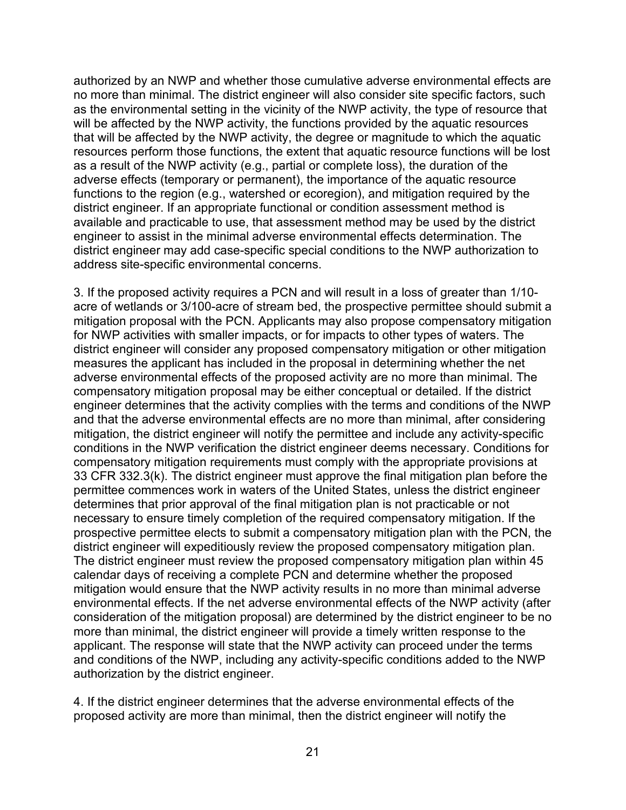authorized by an NWP and whether those cumulative adverse environmental effects are no more than minimal. The district engineer will also consider site specific factors, such as the environmental setting in the vicinity of the NWP activity, the type of resource that will be affected by the NWP activity, the functions provided by the aquatic resources that will be affected by the NWP activity, the degree or magnitude to which the aquatic resources perform those functions, the extent that aquatic resource functions will be lost as a result of the NWP activity (e.g., partial or complete loss), the duration of the adverse effects (temporary or permanent), the importance of the aquatic resource functions to the region (e.g., watershed or ecoregion), and mitigation required by the district engineer. If an appropriate functional or condition assessment method is available and practicable to use, that assessment method may be used by the district engineer to assist in the minimal adverse environmental effects determination. The district engineer may add case-specific special conditions to the NWP authorization to address site-specific environmental concerns.

3. If the proposed activity requires a PCN and will result in a loss of greater than 1/10 acre of wetlands or 3/100-acre of stream bed, the prospective permittee should submit a mitigation proposal with the PCN. Applicants may also propose compensatory mitigation for NWP activities with smaller impacts, or for impacts to other types of waters. The district engineer will consider any proposed compensatory mitigation or other mitigation measures the applicant has included in the proposal in determining whether the net adverse environmental effects of the proposed activity are no more than minimal. The compensatory mitigation proposal may be either conceptual or detailed. If the district engineer determines that the activity complies with the terms and conditions of the NWP and that the adverse environmental effects are no more than minimal, after considering mitigation, the district engineer will notify the permittee and include any activity-specific conditions in the NWP verification the district engineer deems necessary. Conditions for compensatory mitigation requirements must comply with the appropriate provisions at 33 CFR 332.3(k). The district engineer must approve the final mitigation plan before the permittee commences work in waters of the United States, unless the district engineer determines that prior approval of the final mitigation plan is not practicable or not necessary to ensure timely completion of the required compensatory mitigation. If the prospective permittee elects to submit a compensatory mitigation plan with the PCN, the district engineer will expeditiously review the proposed compensatory mitigation plan. The district engineer must review the proposed compensatory mitigation plan within 45 calendar days of receiving a complete PCN and determine whether the proposed mitigation would ensure that the NWP activity results in no more than minimal adverse environmental effects. If the net adverse environmental effects of the NWP activity (after consideration of the mitigation proposal) are determined by the district engineer to be no more than minimal, the district engineer will provide a timely written response to the applicant. The response will state that the NWP activity can proceed under the terms and conditions of the NWP, including any activity-specific conditions added to the NWP authorization by the district engineer.

4. If the district engineer determines that the adverse environmental effects of the proposed activity are more than minimal, then the district engineer will notify the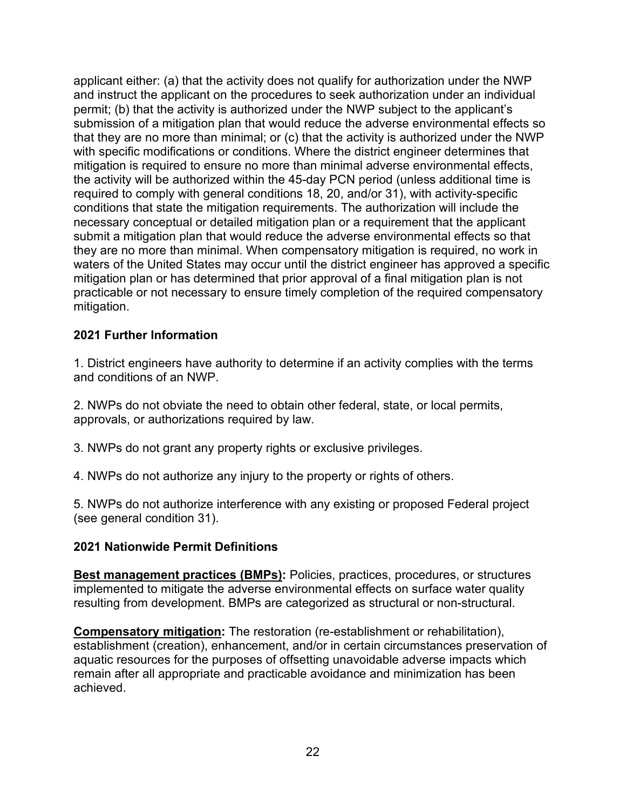applicant either: (a) that the activity does not qualify for authorization under the NWP and instruct the applicant on the procedures to seek authorization under an individual permit; (b) that the activity is authorized under the NWP subject to the applicant's submission of a mitigation plan that would reduce the adverse environmental effects so that they are no more than minimal; or (c) that the activity is authorized under the NWP with specific modifications or conditions. Where the district engineer determines that mitigation is required to ensure no more than minimal adverse environmental effects, the activity will be authorized within the 45-day PCN period (unless additional time is required to comply with general conditions 18, 20, and/or 31), with activity-specific conditions that state the mitigation requirements. The authorization will include the necessary conceptual or detailed mitigation plan or a requirement that the applicant submit a mitigation plan that would reduce the adverse environmental effects so that they are no more than minimal. When compensatory mitigation is required, no work in waters of the United States may occur until the district engineer has approved a specific mitigation plan or has determined that prior approval of a final mitigation plan is not practicable or not necessary to ensure timely completion of the required compensatory mitigation.

### **2021 Further Information**

1. District engineers have authority to determine if an activity complies with the terms and conditions of an NWP.

2. NWPs do not obviate the need to obtain other federal, state, or local permits, approvals, or authorizations required by law.

3. NWPs do not grant any property rights or exclusive privileges.

4. NWPs do not authorize any injury to the property or rights of others.

5. NWPs do not authorize interference with any existing or proposed Federal project (see general condition 31).

### **2021 Nationwide Permit Definitions**

**Best management practices (BMPs):** Policies, practices, procedures, or structures implemented to mitigate the adverse environmental effects on surface water quality resulting from development. BMPs are categorized as structural or non-structural.

**Compensatory mitigation:** The restoration (re-establishment or rehabilitation), establishment (creation), enhancement, and/or in certain circumstances preservation of aquatic resources for the purposes of offsetting unavoidable adverse impacts which remain after all appropriate and practicable avoidance and minimization has been achieved.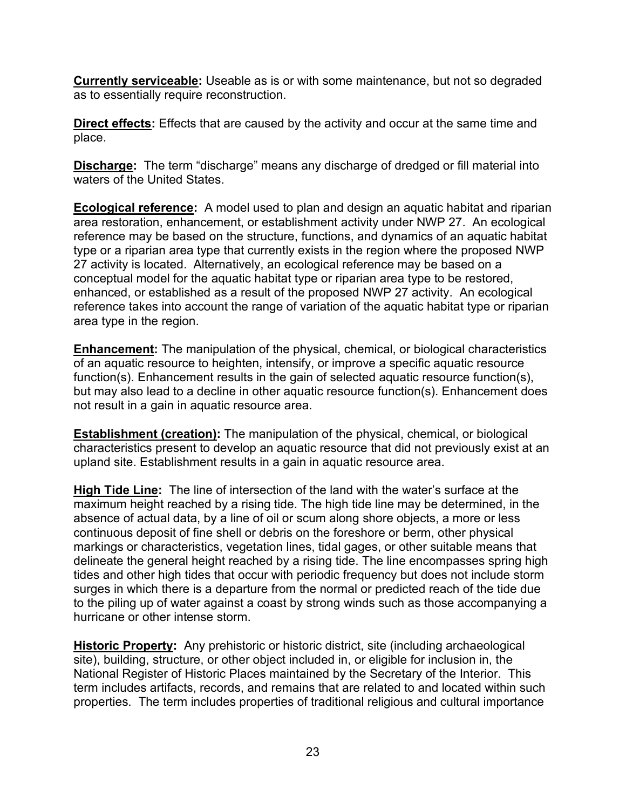**Currently serviceable:** Useable as is or with some maintenance, but not so degraded as to essentially require reconstruction.

**Direct effects:** Effects that are caused by the activity and occur at the same time and place.

**Discharge:** The term "discharge" means any discharge of dredged or fill material into waters of the United States.

**Ecological reference:** A model used to plan and design an aquatic habitat and riparian area restoration, enhancement, or establishment activity under NWP 27. An ecological reference may be based on the structure, functions, and dynamics of an aquatic habitat type or a riparian area type that currently exists in the region where the proposed NWP 27 activity is located. Alternatively, an ecological reference may be based on a conceptual model for the aquatic habitat type or riparian area type to be restored, enhanced, or established as a result of the proposed NWP 27 activity. An ecological reference takes into account the range of variation of the aquatic habitat type or riparian area type in the region.

**Enhancement:** The manipulation of the physical, chemical, or biological characteristics of an aquatic resource to heighten, intensify, or improve a specific aquatic resource function(s). Enhancement results in the gain of selected aquatic resource function(s), but may also lead to a decline in other aquatic resource function(s). Enhancement does not result in a gain in aquatic resource area.

**Establishment (creation):** The manipulation of the physical, chemical, or biological characteristics present to develop an aquatic resource that did not previously exist at an upland site. Establishment results in a gain in aquatic resource area.

**High Tide Line:** The line of intersection of the land with the water's surface at the maximum height reached by a rising tide. The high tide line may be determined, in the absence of actual data, by a line of oil or scum along shore objects, a more or less continuous deposit of fine shell or debris on the foreshore or berm, other physical markings or characteristics, vegetation lines, tidal gages, or other suitable means that delineate the general height reached by a rising tide. The line encompasses spring high tides and other high tides that occur with periodic frequency but does not include storm surges in which there is a departure from the normal or predicted reach of the tide due to the piling up of water against a coast by strong winds such as those accompanying a hurricane or other intense storm.

**Historic Property:** Any prehistoric or historic district, site (including archaeological site), building, structure, or other object included in, or eligible for inclusion in, the National Register of Historic Places maintained by the Secretary of the Interior. This term includes artifacts, records, and remains that are related to and located within such properties. The term includes properties of traditional religious and cultural importance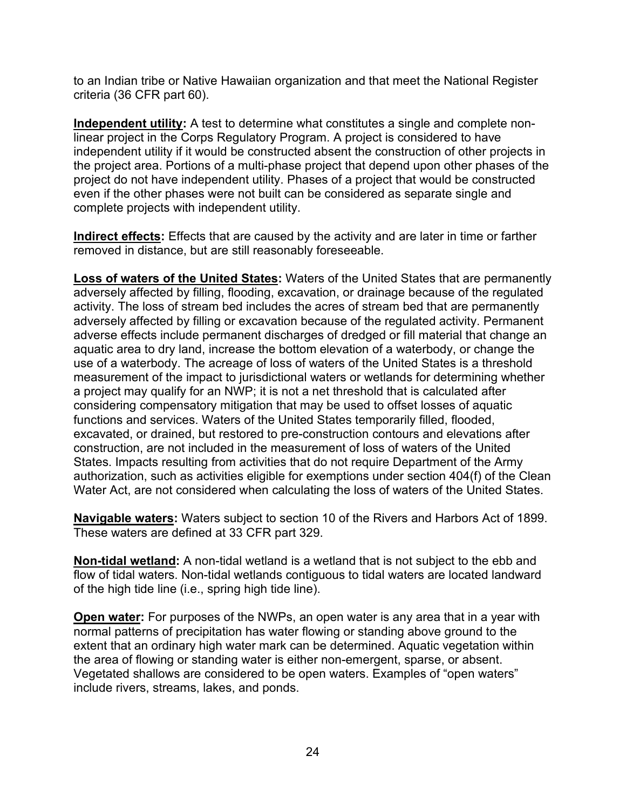to an Indian tribe or Native Hawaiian organization and that meet the National Register criteria (36 CFR part 60).

**Independent utility:** A test to determine what constitutes a single and complete nonlinear project in the Corps Regulatory Program. A project is considered to have independent utility if it would be constructed absent the construction of other projects in the project area. Portions of a multi-phase project that depend upon other phases of the project do not have independent utility. Phases of a project that would be constructed even if the other phases were not built can be considered as separate single and complete projects with independent utility.

**Indirect effects:** Effects that are caused by the activity and are later in time or farther removed in distance, but are still reasonably foreseeable.

**Loss of waters of the United States:** Waters of the United States that are permanently adversely affected by filling, flooding, excavation, or drainage because of the regulated activity. The loss of stream bed includes the acres of stream bed that are permanently adversely affected by filling or excavation because of the regulated activity. Permanent adverse effects include permanent discharges of dredged or fill material that change an aquatic area to dry land, increase the bottom elevation of a waterbody, or change the use of a waterbody. The acreage of loss of waters of the United States is a threshold measurement of the impact to jurisdictional waters or wetlands for determining whether a project may qualify for an NWP; it is not a net threshold that is calculated after considering compensatory mitigation that may be used to offset losses of aquatic functions and services. Waters of the United States temporarily filled, flooded, excavated, or drained, but restored to pre-construction contours and elevations after construction, are not included in the measurement of loss of waters of the United States. Impacts resulting from activities that do not require Department of the Army authorization, such as activities eligible for exemptions under section 404(f) of the Clean Water Act, are not considered when calculating the loss of waters of the United States.

**Navigable waters:** Waters subject to section 10 of the Rivers and Harbors Act of 1899. These waters are defined at 33 CFR part 329.

**Non-tidal wetland:** A non-tidal wetland is a wetland that is not subject to the ebb and flow of tidal waters. Non-tidal wetlands contiguous to tidal waters are located landward of the high tide line (i.e., spring high tide line).

**Open water:** For purposes of the NWPs, an open water is any area that in a year with normal patterns of precipitation has water flowing or standing above ground to the extent that an ordinary high water mark can be determined. Aquatic vegetation within the area of flowing or standing water is either non-emergent, sparse, or absent. Vegetated shallows are considered to be open waters. Examples of "open waters" include rivers, streams, lakes, and ponds.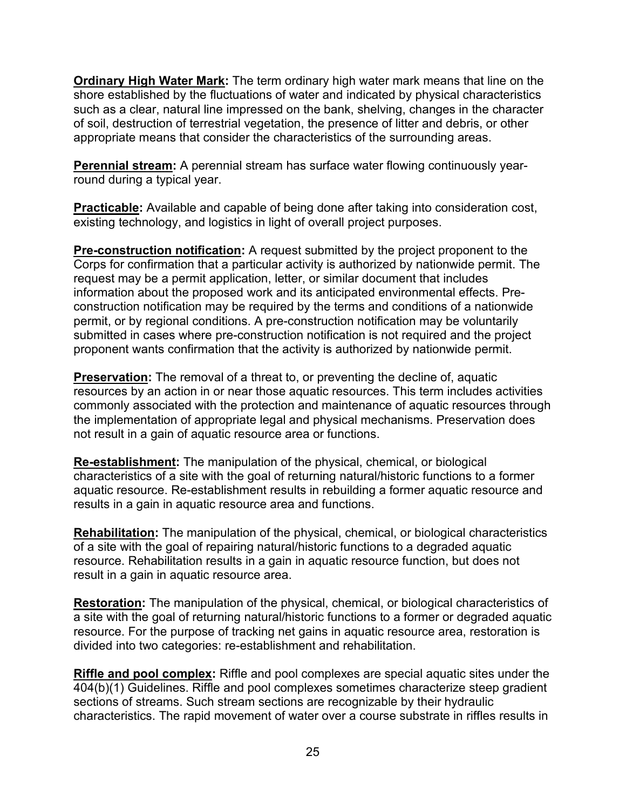**Ordinary High Water Mark:** The term ordinary high water mark means that line on the shore established by the fluctuations of water and indicated by physical characteristics such as a clear, natural line impressed on the bank, shelving, changes in the character of soil, destruction of terrestrial vegetation, the presence of litter and debris, or other appropriate means that consider the characteristics of the surrounding areas.

**Perennial stream:** A perennial stream has surface water flowing continuously yearround during a typical year.

**Practicable:** Available and capable of being done after taking into consideration cost, existing technology, and logistics in light of overall project purposes.

**Pre-construction notification:** A request submitted by the project proponent to the Corps for confirmation that a particular activity is authorized by nationwide permit. The request may be a permit application, letter, or similar document that includes information about the proposed work and its anticipated environmental effects. Preconstruction notification may be required by the terms and conditions of a nationwide permit, or by regional conditions. A pre-construction notification may be voluntarily submitted in cases where pre-construction notification is not required and the project proponent wants confirmation that the activity is authorized by nationwide permit.

**Preservation:** The removal of a threat to, or preventing the decline of, aquatic resources by an action in or near those aquatic resources. This term includes activities commonly associated with the protection and maintenance of aquatic resources through the implementation of appropriate legal and physical mechanisms. Preservation does not result in a gain of aquatic resource area or functions.

**Re-establishment:** The manipulation of the physical, chemical, or biological characteristics of a site with the goal of returning natural/historic functions to a former aquatic resource. Re-establishment results in rebuilding a former aquatic resource and results in a gain in aquatic resource area and functions.

**Rehabilitation:** The manipulation of the physical, chemical, or biological characteristics of a site with the goal of repairing natural/historic functions to a degraded aquatic resource. Rehabilitation results in a gain in aquatic resource function, but does not result in a gain in aquatic resource area.

**Restoration:** The manipulation of the physical, chemical, or biological characteristics of a site with the goal of returning natural/historic functions to a former or degraded aquatic resource. For the purpose of tracking net gains in aquatic resource area, restoration is divided into two categories: re-establishment and rehabilitation.

**Riffle and pool complex:** Riffle and pool complexes are special aquatic sites under the 404(b)(1) Guidelines. Riffle and pool complexes sometimes characterize steep gradient sections of streams. Such stream sections are recognizable by their hydraulic characteristics. The rapid movement of water over a course substrate in riffles results in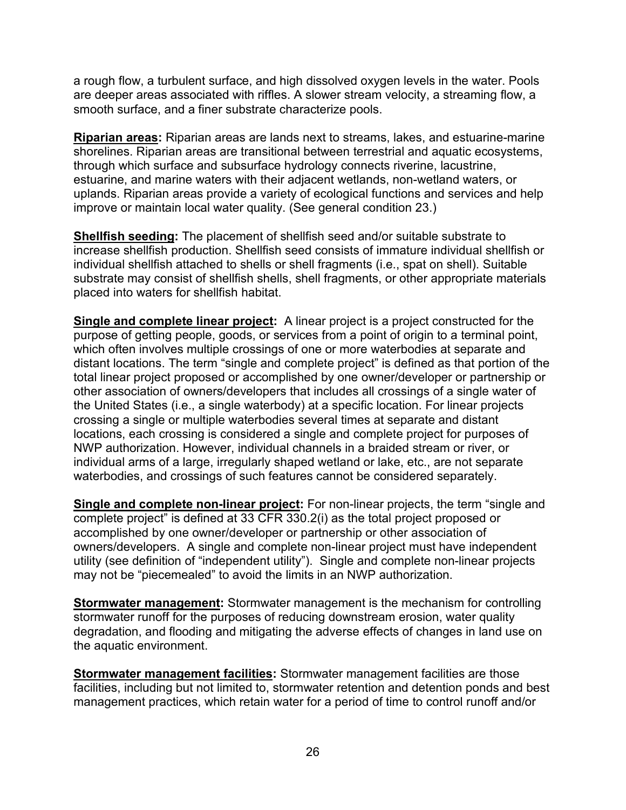a rough flow, a turbulent surface, and high dissolved oxygen levels in the water. Pools are deeper areas associated with riffles. A slower stream velocity, a streaming flow, a smooth surface, and a finer substrate characterize pools.

**Riparian areas:** Riparian areas are lands next to streams, lakes, and estuarine-marine shorelines. Riparian areas are transitional between terrestrial and aquatic ecosystems, through which surface and subsurface hydrology connects riverine, lacustrine, estuarine, and marine waters with their adjacent wetlands, non-wetland waters, or uplands. Riparian areas provide a variety of ecological functions and services and help improve or maintain local water quality. (See general condition 23.)

**Shellfish seeding:** The placement of shellfish seed and/or suitable substrate to increase shellfish production. Shellfish seed consists of immature individual shellfish or individual shellfish attached to shells or shell fragments (i.e., spat on shell). Suitable substrate may consist of shellfish shells, shell fragments, or other appropriate materials placed into waters for shellfish habitat.

**Single and complete linear project:** A linear project is a project constructed for the purpose of getting people, goods, or services from a point of origin to a terminal point, which often involves multiple crossings of one or more waterbodies at separate and distant locations. The term "single and complete project" is defined as that portion of the total linear project proposed or accomplished by one owner/developer or partnership or other association of owners/developers that includes all crossings of a single water of the United States (i.e., a single waterbody) at a specific location. For linear projects crossing a single or multiple waterbodies several times at separate and distant locations, each crossing is considered a single and complete project for purposes of NWP authorization. However, individual channels in a braided stream or river, or individual arms of a large, irregularly shaped wetland or lake, etc., are not separate waterbodies, and crossings of such features cannot be considered separately.

**Single and complete non-linear project:** For non-linear projects, the term "single and complete project" is defined at 33 CFR 330.2(i) as the total project proposed or accomplished by one owner/developer or partnership or other association of owners/developers. A single and complete non-linear project must have independent utility (see definition of "independent utility"). Single and complete non-linear projects may not be "piecemealed" to avoid the limits in an NWP authorization.

**Stormwater management:** Stormwater management is the mechanism for controlling stormwater runoff for the purposes of reducing downstream erosion, water quality degradation, and flooding and mitigating the adverse effects of changes in land use on the aquatic environment.

**Stormwater management facilities:** Stormwater management facilities are those facilities, including but not limited to, stormwater retention and detention ponds and best management practices, which retain water for a period of time to control runoff and/or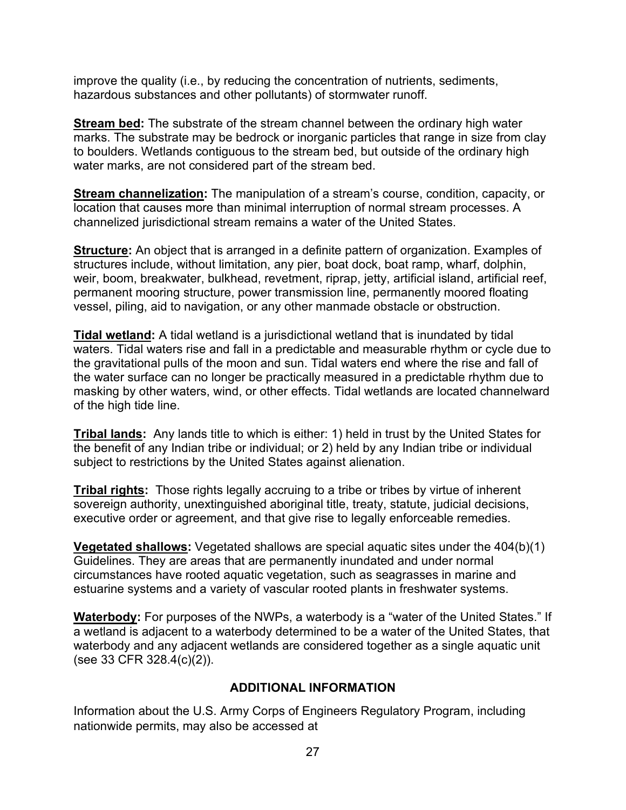improve the quality (i.e., by reducing the concentration of nutrients, sediments, hazardous substances and other pollutants) of stormwater runoff.

**Stream bed:** The substrate of the stream channel between the ordinary high water marks. The substrate may be bedrock or inorganic particles that range in size from clay to boulders. Wetlands contiguous to the stream bed, but outside of the ordinary high water marks, are not considered part of the stream bed.

**Stream channelization:** The manipulation of a stream's course, condition, capacity, or location that causes more than minimal interruption of normal stream processes. A channelized jurisdictional stream remains a water of the United States.

**Structure:** An object that is arranged in a definite pattern of organization. Examples of structures include, without limitation, any pier, boat dock, boat ramp, wharf, dolphin, weir, boom, breakwater, bulkhead, revetment, riprap, jetty, artificial island, artificial reef, permanent mooring structure, power transmission line, permanently moored floating vessel, piling, aid to navigation, or any other manmade obstacle or obstruction.

**Tidal wetland:** A tidal wetland is a jurisdictional wetland that is inundated by tidal waters. Tidal waters rise and fall in a predictable and measurable rhythm or cycle due to the gravitational pulls of the moon and sun. Tidal waters end where the rise and fall of the water surface can no longer be practically measured in a predictable rhythm due to masking by other waters, wind, or other effects. Tidal wetlands are located channelward of the high tide line.

**Tribal lands:** Any lands title to which is either: 1) held in trust by the United States for the benefit of any Indian tribe or individual; or 2) held by any Indian tribe or individual subject to restrictions by the United States against alienation.

**Tribal rights:** Those rights legally accruing to a tribe or tribes by virtue of inherent sovereign authority, unextinguished aboriginal title, treaty, statute, judicial decisions, executive order or agreement, and that give rise to legally enforceable remedies.

**Vegetated shallows:** Vegetated shallows are special aquatic sites under the 404(b)(1) Guidelines. They are areas that are permanently inundated and under normal circumstances have rooted aquatic vegetation, such as seagrasses in marine and estuarine systems and a variety of vascular rooted plants in freshwater systems.

**Waterbody:** For purposes of the NWPs, a waterbody is a "water of the United States." If a wetland is adjacent to a waterbody determined to be a water of the United States, that waterbody and any adjacent wetlands are considered together as a single aquatic unit (see 33 CFR 328.4(c)(2)).

# **ADDITIONAL INFORMATION**

Information about the U.S. Army Corps of Engineers Regulatory Program, including nationwide permits, may also be accessed at